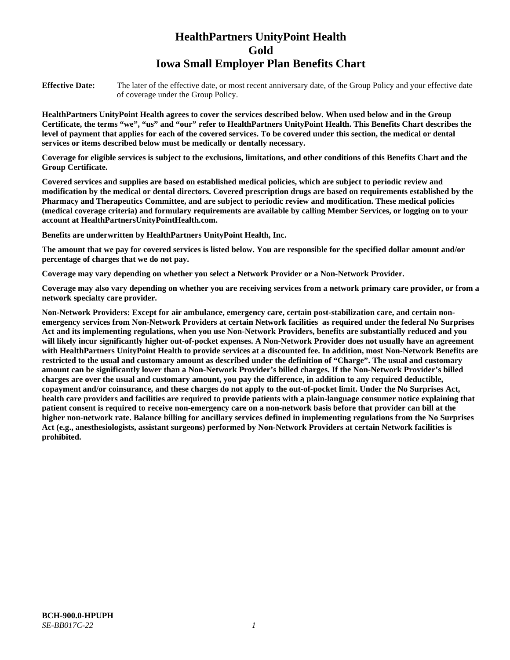# **HealthPartners UnityPoint Health Gold Iowa Small Employer Plan Benefits Chart**

**Effective Date:** The later of the effective date, or most recent anniversary date, of the Group Policy and your effective date of coverage under the Group Policy.

**HealthPartners UnityPoint Health agrees to cover the services described below. When used below and in the Group Certificate, the terms "we", "us" and "our" refer to HealthPartners UnityPoint Health. This Benefits Chart describes the level of payment that applies for each of the covered services. To be covered under this section, the medical or dental services or items described below must be medically or dentally necessary.**

**Coverage for eligible services is subject to the exclusions, limitations, and other conditions of this Benefits Chart and the Group Certificate.** 

**Covered services and supplies are based on established medical policies, which are subject to periodic review and modification by the medical or dental directors. Covered prescription drugs are based on requirements established by the Pharmacy and Therapeutics Committee, and are subject to periodic review and modification. These medical policies (medical coverage criteria) and formulary requirements are available by calling Member Services, or logging on to your account at [HealthPartnersUnityPointHealth.com.](https://www.healthpartnersunitypointhealth.com/)**

**Benefits are underwritten by HealthPartners UnityPoint Health, Inc.**

**The amount that we pay for covered services is listed below. You are responsible for the specified dollar amount and/or percentage of charges that we do not pay.**

**Coverage may vary depending on whether you select a Network Provider or a Non-Network Provider.**

**Coverage may also vary depending on whether you are receiving services from a network primary care provider, or from a network specialty care provider.**

**Non-Network Providers: Except for air ambulance, emergency care, certain post-stabilization care, and certain nonemergency services from Non-Network Providers at certain Network facilities as required under the federal No Surprises Act and its implementing regulations, when you use Non-Network Providers, benefits are substantially reduced and you will likely incur significantly higher out-of-pocket expenses. A Non-Network Provider does not usually have an agreement with HealthPartners UnityPoint Health to provide services at a discounted fee. In addition, most Non-Network Benefits are restricted to the usual and customary amount as described under the definition of "Charge". The usual and customary amount can be significantly lower than a Non-Network Provider's billed charges. If the Non-Network Provider's billed charges are over the usual and customary amount, you pay the difference, in addition to any required deductible, copayment and/or coinsurance, and these charges do not apply to the out-of-pocket limit. Under the No Surprises Act, health care providers and facilities are required to provide patients with a plain-language consumer notice explaining that patient consent is required to receive non-emergency care on a non-network basis before that provider can bill at the higher non-network rate. Balance billing for ancillary services defined in implementing regulations from the No Surprises Act (e.g., anesthesiologists, assistant surgeons) performed by Non-Network Providers at certain Network facilities is prohibited.**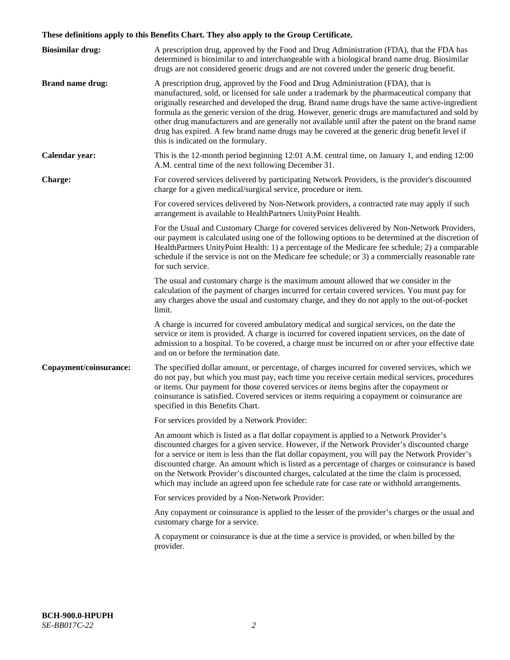# **These definitions apply to this Benefits Chart. They also apply to the Group Certificate.**

| <b>Biosimilar drug:</b> | A prescription drug, approved by the Food and Drug Administration (FDA), that the FDA has<br>determined is biosimilar to and interchangeable with a biological brand name drug. Biosimilar<br>drugs are not considered generic drugs and are not covered under the generic drug benefit.                                                                                                                                                                                                                                                                                                                                           |
|-------------------------|------------------------------------------------------------------------------------------------------------------------------------------------------------------------------------------------------------------------------------------------------------------------------------------------------------------------------------------------------------------------------------------------------------------------------------------------------------------------------------------------------------------------------------------------------------------------------------------------------------------------------------|
| <b>Brand name drug:</b> | A prescription drug, approved by the Food and Drug Administration (FDA), that is<br>manufactured, sold, or licensed for sale under a trademark by the pharmaceutical company that<br>originally researched and developed the drug. Brand name drugs have the same active-ingredient<br>formula as the generic version of the drug. However, generic drugs are manufactured and sold by<br>other drug manufacturers and are generally not available until after the patent on the brand name<br>drug has expired. A few brand name drugs may be covered at the generic drug benefit level if<br>this is indicated on the formulary. |
| Calendar year:          | This is the 12-month period beginning 12:01 A.M. central time, on January 1, and ending 12:00<br>A.M. central time of the next following December 31.                                                                                                                                                                                                                                                                                                                                                                                                                                                                              |
| <b>Charge:</b>          | For covered services delivered by participating Network Providers, is the provider's discounted<br>charge for a given medical/surgical service, procedure or item.                                                                                                                                                                                                                                                                                                                                                                                                                                                                 |
|                         | For covered services delivered by Non-Network providers, a contracted rate may apply if such<br>arrangement is available to HealthPartners UnityPoint Health.                                                                                                                                                                                                                                                                                                                                                                                                                                                                      |
|                         | For the Usual and Customary Charge for covered services delivered by Non-Network Providers,<br>our payment is calculated using one of the following options to be determined at the discretion of<br>HealthPartners UnityPoint Health: 1) a percentage of the Medicare fee schedule; 2) a comparable<br>schedule if the service is not on the Medicare fee schedule; or 3) a commercially reasonable rate<br>for such service.                                                                                                                                                                                                     |
|                         | The usual and customary charge is the maximum amount allowed that we consider in the<br>calculation of the payment of charges incurred for certain covered services. You must pay for<br>any charges above the usual and customary charge, and they do not apply to the out-of-pocket<br>limit.                                                                                                                                                                                                                                                                                                                                    |
|                         | A charge is incurred for covered ambulatory medical and surgical services, on the date the<br>service or item is provided. A charge is incurred for covered inpatient services, on the date of<br>admission to a hospital. To be covered, a charge must be incurred on or after your effective date<br>and on or before the termination date.                                                                                                                                                                                                                                                                                      |
| Copayment/coinsurance:  | The specified dollar amount, or percentage, of charges incurred for covered services, which we<br>do not pay, but which you must pay, each time you receive certain medical services, procedures<br>or items. Our payment for those covered services or items begins after the copayment or<br>coinsurance is satisfied. Covered services or items requiring a copayment or coinsurance are<br>specified in this Benefits Chart.                                                                                                                                                                                                   |
|                         | For services provided by a Network Provider:                                                                                                                                                                                                                                                                                                                                                                                                                                                                                                                                                                                       |
|                         | An amount which is listed as a flat dollar copayment is applied to a Network Provider's<br>discounted charges for a given service. However, if the Network Provider's discounted charge<br>for a service or item is less than the flat dollar copayment, you will pay the Network Provider's<br>discounted charge. An amount which is listed as a percentage of charges or coinsurance is based<br>on the Network Provider's discounted charges, calculated at the time the claim is processed,<br>which may include an agreed upon fee schedule rate for case rate or withhold arrangements.                                      |
|                         | For services provided by a Non-Network Provider:                                                                                                                                                                                                                                                                                                                                                                                                                                                                                                                                                                                   |
|                         | Any copayment or coinsurance is applied to the lesser of the provider's charges or the usual and<br>customary charge for a service.                                                                                                                                                                                                                                                                                                                                                                                                                                                                                                |
|                         | A copayment or coinsurance is due at the time a service is provided, or when billed by the<br>provider.                                                                                                                                                                                                                                                                                                                                                                                                                                                                                                                            |
|                         |                                                                                                                                                                                                                                                                                                                                                                                                                                                                                                                                                                                                                                    |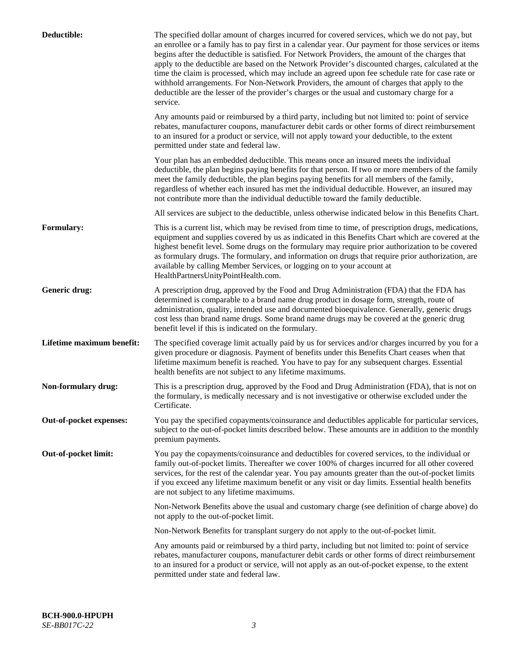| Deductible:               | The specified dollar amount of charges incurred for covered services, which we do not pay, but<br>an enrollee or a family has to pay first in a calendar year. Our payment for those services or items<br>begins after the deductible is satisfied. For Network Providers, the amount of the charges that<br>apply to the deductible are based on the Network Provider's discounted charges, calculated at the<br>time the claim is processed, which may include an agreed upon fee schedule rate for case rate or<br>withhold arrangements. For Non-Network Providers, the amount of charges that apply to the<br>deductible are the lesser of the provider's charges or the usual and customary charge for a<br>service. |
|---------------------------|----------------------------------------------------------------------------------------------------------------------------------------------------------------------------------------------------------------------------------------------------------------------------------------------------------------------------------------------------------------------------------------------------------------------------------------------------------------------------------------------------------------------------------------------------------------------------------------------------------------------------------------------------------------------------------------------------------------------------|
|                           | Any amounts paid or reimbursed by a third party, including but not limited to: point of service<br>rebates, manufacturer coupons, manufacturer debit cards or other forms of direct reimbursement<br>to an insured for a product or service, will not apply toward your deductible, to the extent<br>permitted under state and federal law.                                                                                                                                                                                                                                                                                                                                                                                |
|                           | Your plan has an embedded deductible. This means once an insured meets the individual<br>deductible, the plan begins paying benefits for that person. If two or more members of the family<br>meet the family deductible, the plan begins paying benefits for all members of the family,<br>regardless of whether each insured has met the individual deductible. However, an insured may<br>not contribute more than the individual deductible toward the family deductible.                                                                                                                                                                                                                                              |
|                           | All services are subject to the deductible, unless otherwise indicated below in this Benefits Chart.                                                                                                                                                                                                                                                                                                                                                                                                                                                                                                                                                                                                                       |
| <b>Formulary:</b>         | This is a current list, which may be revised from time to time, of prescription drugs, medications,<br>equipment and supplies covered by us as indicated in this Benefits Chart which are covered at the<br>highest benefit level. Some drugs on the formulary may require prior authorization to be covered<br>as formulary drugs. The formulary, and information on drugs that require prior authorization, are<br>available by calling Member Services, or logging on to your account at<br>HealthPartnersUnityPointHealth.com.                                                                                                                                                                                         |
| Generic drug:             | A prescription drug, approved by the Food and Drug Administration (FDA) that the FDA has<br>determined is comparable to a brand name drug product in dosage form, strength, route of<br>administration, quality, intended use and documented bioequivalence. Generally, generic drugs<br>cost less than brand name drugs. Some brand name drugs may be covered at the generic drug<br>benefit level if this is indicated on the formulary.                                                                                                                                                                                                                                                                                 |
| Lifetime maximum benefit: | The specified coverage limit actually paid by us for services and/or charges incurred by you for a<br>given procedure or diagnosis. Payment of benefits under this Benefits Chart ceases when that<br>lifetime maximum benefit is reached. You have to pay for any subsequent charges. Essential<br>health benefits are not subject to any lifetime maximums.                                                                                                                                                                                                                                                                                                                                                              |
| Non-formulary drug:       | This is a prescription drug, approved by the Food and Drug Administration (FDA), that is not on<br>the formulary, is medically necessary and is not investigative or otherwise excluded under the<br>Certificate.                                                                                                                                                                                                                                                                                                                                                                                                                                                                                                          |
| Out-of-pocket expenses:   | You pay the specified copayments/coinsurance and deductibles applicable for particular services,<br>subject to the out-of-pocket limits described below. These amounts are in addition to the monthly<br>premium payments.                                                                                                                                                                                                                                                                                                                                                                                                                                                                                                 |
| Out-of-pocket limit:      | You pay the copayments/coinsurance and deductibles for covered services, to the individual or<br>family out-of-pocket limits. Thereafter we cover 100% of charges incurred for all other covered<br>services, for the rest of the calendar year. You pay amounts greater than the out-of-pocket limits<br>if you exceed any lifetime maximum benefit or any visit or day limits. Essential health benefits<br>are not subject to any lifetime maximums.                                                                                                                                                                                                                                                                    |
|                           | Non-Network Benefits above the usual and customary charge (see definition of charge above) do<br>not apply to the out-of-pocket limit.                                                                                                                                                                                                                                                                                                                                                                                                                                                                                                                                                                                     |
|                           | Non-Network Benefits for transplant surgery do not apply to the out-of-pocket limit.                                                                                                                                                                                                                                                                                                                                                                                                                                                                                                                                                                                                                                       |
|                           | Any amounts paid or reimbursed by a third party, including but not limited to: point of service<br>rebates, manufacturer coupons, manufacturer debit cards or other forms of direct reimbursement<br>to an insured for a product or service, will not apply as an out-of-pocket expense, to the extent<br>permitted under state and federal law.                                                                                                                                                                                                                                                                                                                                                                           |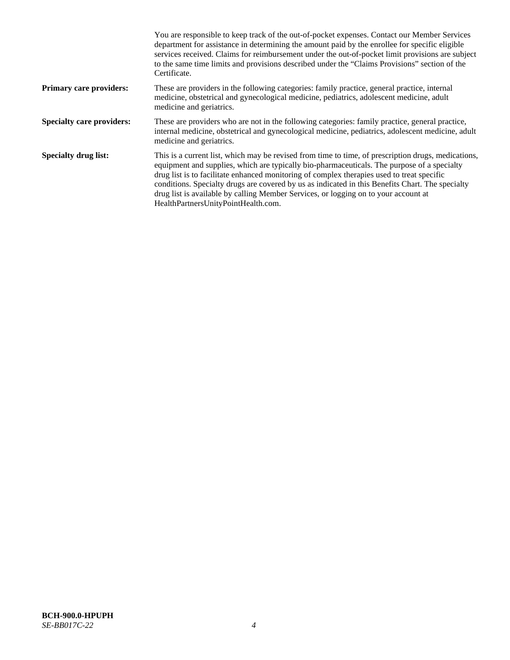|                                  | You are responsible to keep track of the out-of-pocket expenses. Contact our Member Services<br>department for assistance in determining the amount paid by the enrollee for specific eligible<br>services received. Claims for reimbursement under the out-of-pocket limit provisions are subject<br>to the same time limits and provisions described under the "Claims Provisions" section of the<br>Certificate.                                                                                                                |
|----------------------------------|------------------------------------------------------------------------------------------------------------------------------------------------------------------------------------------------------------------------------------------------------------------------------------------------------------------------------------------------------------------------------------------------------------------------------------------------------------------------------------------------------------------------------------|
| <b>Primary care providers:</b>   | These are providers in the following categories: family practice, general practice, internal<br>medicine, obstetrical and gynecological medicine, pediatrics, adolescent medicine, adult<br>medicine and geriatrics.                                                                                                                                                                                                                                                                                                               |
| <b>Specialty care providers:</b> | These are providers who are not in the following categories: family practice, general practice,<br>internal medicine, obstetrical and gynecological medicine, pediatrics, adolescent medicine, adult<br>medicine and geriatrics.                                                                                                                                                                                                                                                                                                   |
| <b>Specialty drug list:</b>      | This is a current list, which may be revised from time to time, of prescription drugs, medications,<br>equipment and supplies, which are typically bio-pharmaceuticals. The purpose of a specialty<br>drug list is to facilitate enhanced monitoring of complex therapies used to treat specific<br>conditions. Specialty drugs are covered by us as indicated in this Benefits Chart. The specialty<br>drug list is available by calling Member Services, or logging on to your account at<br>HealthPartnersUnityPointHealth.com. |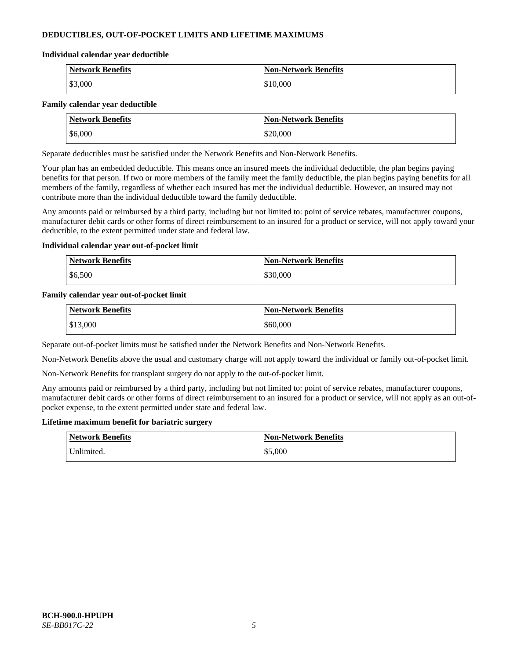## **DEDUCTIBLES, OUT-OF-POCKET LIMITS AND LIFETIME MAXIMUMS**

#### **Individual calendar year deductible**

| <b>Network Benefits</b> | <b>Non-Network Benefits</b> |
|-------------------------|-----------------------------|
| \$3,000                 | \$10,000                    |

#### **Family calendar year deductible**

| <b>Network Benefits</b> | <b>Non-Network Benefits</b> |
|-------------------------|-----------------------------|
| \$6,000                 | \$20,000                    |

Separate deductibles must be satisfied under the Network Benefits and Non-Network Benefits.

Your plan has an embedded deductible. This means once an insured meets the individual deductible, the plan begins paying benefits for that person. If two or more members of the family meet the family deductible, the plan begins paying benefits for all members of the family, regardless of whether each insured has met the individual deductible. However, an insured may not contribute more than the individual deductible toward the family deductible.

Any amounts paid or reimbursed by a third party, including but not limited to: point of service rebates, manufacturer coupons, manufacturer debit cards or other forms of direct reimbursement to an insured for a product or service, will not apply toward your deductible, to the extent permitted under state and federal law.

### **Individual calendar year out-of-pocket limit**

| <b>Network Benefits</b> | <b>Non-Network Benefits</b> |
|-------------------------|-----------------------------|
| \$6,500                 | \$30,000                    |

### **Family calendar year out-of-pocket limit**

| <b>Network Benefits</b> | <b>Non-Network Benefits</b> |
|-------------------------|-----------------------------|
| \$13,000                | \$60,000                    |

Separate out-of-pocket limits must be satisfied under the Network Benefits and Non-Network Benefits.

Non-Network Benefits above the usual and customary charge will not apply toward the individual or family out-of-pocket limit.

Non-Network Benefits for transplant surgery do not apply to the out-of-pocket limit.

Any amounts paid or reimbursed by a third party, including but not limited to: point of service rebates, manufacturer coupons, manufacturer debit cards or other forms of direct reimbursement to an insured for a product or service, will not apply as an out-ofpocket expense, to the extent permitted under state and federal law.

#### **Lifetime maximum benefit for bariatric surgery**

| <b>Network Benefits</b> | <b>Non-Network Benefits</b> |
|-------------------------|-----------------------------|
| Jnlimited.              | \$5,000                     |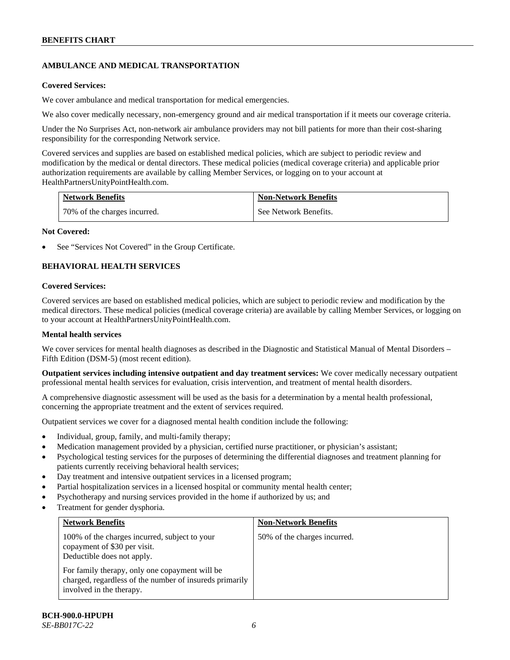# **AMBULANCE AND MEDICAL TRANSPORTATION**

### **Covered Services:**

We cover ambulance and medical transportation for medical emergencies.

We also cover medically necessary, non-emergency ground and air medical transportation if it meets our coverage criteria.

Under the No Surprises Act, non-network air ambulance providers may not bill patients for more than their cost-sharing responsibility for the corresponding Network service.

Covered services and supplies are based on established medical policies, which are subject to periodic review and modification by the medical or dental directors. These medical policies (medical coverage criteria) and applicable prior authorization requirements are available by calling Member Services, or logging on to your account at [HealthPartnersUnityPointHealth.com.](https://www.healthpartnersunitypointhealth.com/)

| <b>Network Benefits</b>      | <b>Non-Network Benefits</b> |
|------------------------------|-----------------------------|
| 70% of the charges incurred. | See Network Benefits.       |

### **Not Covered:**

See "Services Not Covered" in the Group Certificate.

# **BEHAVIORAL HEALTH SERVICES**

### **Covered Services:**

Covered services are based on established medical policies, which are subject to periodic review and modification by the medical directors. These medical policies (medical coverage criteria) are available by calling Member Services, or logging on to your account at [HealthPartnersUnityPointHealth.com.](https://www.healthpartnersunitypointhealth.com/)

### **Mental health services**

We cover services for mental health diagnoses as described in the Diagnostic and Statistical Manual of Mental Disorders – Fifth Edition (DSM-5) (most recent edition).

**Outpatient services including intensive outpatient and day treatment services:** We cover medically necessary outpatient professional mental health services for evaluation, crisis intervention, and treatment of mental health disorders.

A comprehensive diagnostic assessment will be used as the basis for a determination by a mental health professional, concerning the appropriate treatment and the extent of services required.

Outpatient services we cover for a diagnosed mental health condition include the following:

- Individual, group, family, and multi-family therapy;
- Medication management provided by a physician, certified nurse practitioner, or physician's assistant;
- Psychological testing services for the purposes of determining the differential diagnoses and treatment planning for patients currently receiving behavioral health services;
- Day treatment and intensive outpatient services in a licensed program;
- Partial hospitalization services in a licensed hospital or community mental health center;
- Psychotherapy and nursing services provided in the home if authorized by us; and
- Treatment for gender dysphoria.

| <b>Network Benefits</b>                                                                                                               | <b>Non-Network Benefits</b>  |
|---------------------------------------------------------------------------------------------------------------------------------------|------------------------------|
| 100% of the charges incurred, subject to your<br>copayment of \$30 per visit.<br>Deductible does not apply.                           | 50% of the charges incurred. |
| For family therapy, only one copayment will be<br>charged, regardless of the number of insureds primarily<br>involved in the therapy. |                              |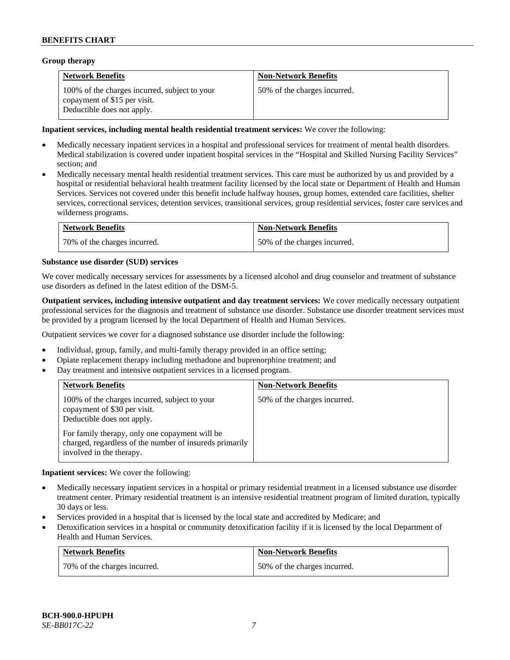### **Group therapy**

| <b>Network Benefits</b>                                                                                     | <b>Non-Network Benefits</b>  |
|-------------------------------------------------------------------------------------------------------------|------------------------------|
| 100% of the charges incurred, subject to your<br>copayment of \$15 per visit.<br>Deductible does not apply. | 50% of the charges incurred. |

### **Inpatient services, including mental health residential treatment services:** We cover the following:

- Medically necessary inpatient services in a hospital and professional services for treatment of mental health disorders. Medical stabilization is covered under inpatient hospital services in the "Hospital and Skilled Nursing Facility Services" section; and
- Medically necessary mental health residential treatment services. This care must be authorized by us and provided by a hospital or residential behavioral health treatment facility licensed by the local state or Department of Health and Human Services. Services not covered under this benefit include halfway houses, group homes, extended care facilities, shelter services, correctional services, detention services, transitional services, group residential services, foster care services and wilderness programs.

| <b>Network Benefits</b>      | <b>Non-Network Benefits</b>  |
|------------------------------|------------------------------|
| 70% of the charges incurred. | 50% of the charges incurred. |

### **Substance use disorder (SUD) services**

We cover medically necessary services for assessments by a licensed alcohol and drug counselor and treatment of substance use disorders as defined in the latest edition of the DSM-5.

**Outpatient services, including intensive outpatient and day treatment services:** We cover medically necessary outpatient professional services for the diagnosis and treatment of substance use disorder. Substance use disorder treatment services must be provided by a program licensed by the local Department of Health and Human Services.

Outpatient services we cover for a diagnosed substance use disorder include the following:

- Individual, group, family, and multi-family therapy provided in an office setting;
- Opiate replacement therapy including methadone and buprenorphine treatment; and
- Day treatment and intensive outpatient services in a licensed program.

| <b>Network Benefits</b>                                                                                                                                                                                                                              | <b>Non-Network Benefits</b>  |
|------------------------------------------------------------------------------------------------------------------------------------------------------------------------------------------------------------------------------------------------------|------------------------------|
| 100% of the charges incurred, subject to your<br>copayment of \$30 per visit.<br>Deductible does not apply.<br>For family therapy, only one copayment will be<br>charged, regardless of the number of insureds primarily<br>involved in the therapy. | 50% of the charges incurred. |

**Inpatient services:** We cover the following:

- Medically necessary inpatient services in a hospital or primary residential treatment in a licensed substance use disorder treatment center. Primary residential treatment is an intensive residential treatment program of limited duration, typically 30 days or less.
- Services provided in a hospital that is licensed by the local state and accredited by Medicare; and
- Detoxification services in a hospital or community detoxification facility if it is licensed by the local Department of Health and Human Services.

| <b>Network Benefits</b>      | <b>Non-Network Benefits</b>  |
|------------------------------|------------------------------|
| 70% of the charges incurred. | 50% of the charges incurred. |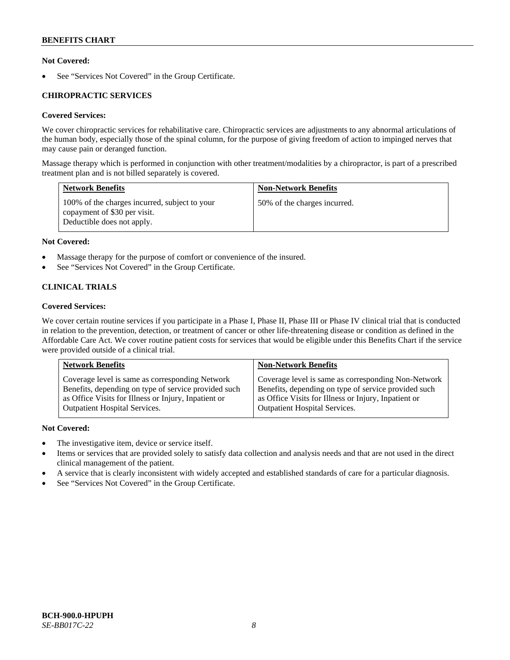### **Not Covered:**

See "Services Not Covered" in the Group Certificate.

### **CHIROPRACTIC SERVICES**

# **Covered Services:**

We cover chiropractic services for rehabilitative care. Chiropractic services are adjustments to any abnormal articulations of the human body, especially those of the spinal column, for the purpose of giving freedom of action to impinged nerves that may cause pain or deranged function.

Massage therapy which is performed in conjunction with other treatment/modalities by a chiropractor, is part of a prescribed treatment plan and is not billed separately is covered.

| <b>Network Benefits</b>                                                                                     | <b>Non-Network Benefits</b>  |
|-------------------------------------------------------------------------------------------------------------|------------------------------|
| 100% of the charges incurred, subject to your<br>copayment of \$30 per visit.<br>Deductible does not apply. | 50% of the charges incurred. |

### **Not Covered:**

- Massage therapy for the purpose of comfort or convenience of the insured.
- See "Services Not Covered" in the Group Certificate.

# **CLINICAL TRIALS**

### **Covered Services:**

We cover certain routine services if you participate in a Phase I, Phase II, Phase III or Phase IV clinical trial that is conducted in relation to the prevention, detection, or treatment of cancer or other life-threatening disease or condition as defined in the Affordable Care Act. We cover routine patient costs for services that would be eligible under this Benefits Chart if the service were provided outside of a clinical trial.

| <b>Network Benefits</b>                              | <b>Non-Network Benefits</b>                          |
|------------------------------------------------------|------------------------------------------------------|
| Coverage level is same as corresponding Network      | Coverage level is same as corresponding Non-Network  |
| Benefits, depending on type of service provided such | Benefits, depending on type of service provided such |
| as Office Visits for Illness or Injury, Inpatient or | as Office Visits for Illness or Injury, Inpatient or |
| <b>Outpatient Hospital Services.</b>                 | <b>Outpatient Hospital Services.</b>                 |

### **Not Covered:**

- The investigative item, device or service itself.
- Items or services that are provided solely to satisfy data collection and analysis needs and that are not used in the direct clinical management of the patient.
- A service that is clearly inconsistent with widely accepted and established standards of care for a particular diagnosis.
- See "Services Not Covered" in the Group Certificate.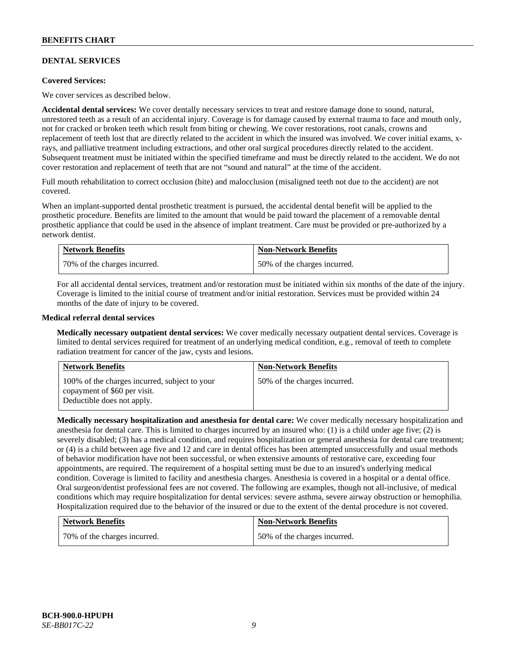### **DENTAL SERVICES**

### **Covered Services:**

We cover services as described below.

**Accidental dental services:** We cover dentally necessary services to treat and restore damage done to sound, natural, unrestored teeth as a result of an accidental injury. Coverage is for damage caused by external trauma to face and mouth only, not for cracked or broken teeth which result from biting or chewing. We cover restorations, root canals, crowns and replacement of teeth lost that are directly related to the accident in which the insured was involved. We cover initial exams, xrays, and palliative treatment including extractions, and other oral surgical procedures directly related to the accident. Subsequent treatment must be initiated within the specified timeframe and must be directly related to the accident. We do not cover restoration and replacement of teeth that are not "sound and natural" at the time of the accident.

Full mouth rehabilitation to correct occlusion (bite) and malocclusion (misaligned teeth not due to the accident) are not covered.

When an implant-supported dental prosthetic treatment is pursued, the accidental dental benefit will be applied to the prosthetic procedure. Benefits are limited to the amount that would be paid toward the placement of a removable dental prosthetic appliance that could be used in the absence of implant treatment. Care must be provided or pre-authorized by a network dentist.

| <b>Network Benefits</b>      | <b>Non-Network Benefits</b>  |
|------------------------------|------------------------------|
| 70% of the charges incurred. | 50% of the charges incurred. |

For all accidental dental services, treatment and/or restoration must be initiated within six months of the date of the injury. Coverage is limited to the initial course of treatment and/or initial restoration. Services must be provided within 24 months of the date of injury to be covered.

### **Medical referral dental services**

**Medically necessary outpatient dental services:** We cover medically necessary outpatient dental services. Coverage is limited to dental services required for treatment of an underlying medical condition, e.g., removal of teeth to complete radiation treatment for cancer of the jaw, cysts and lesions.

| <b>Network Benefits</b>                                                                                     | <b>Non-Network Benefits</b>  |
|-------------------------------------------------------------------------------------------------------------|------------------------------|
| 100% of the charges incurred, subject to your<br>copayment of \$60 per visit.<br>Deductible does not apply. | 50% of the charges incurred. |

**Medically necessary hospitalization and anesthesia for dental care:** We cover medically necessary hospitalization and anesthesia for dental care. This is limited to charges incurred by an insured who: (1) is a child under age five; (2) is severely disabled; (3) has a medical condition, and requires hospitalization or general anesthesia for dental care treatment; or (4) is a child between age five and 12 and care in dental offices has been attempted unsuccessfully and usual methods of behavior modification have not been successful, or when extensive amounts of restorative care, exceeding four appointments, are required. The requirement of a hospital setting must be due to an insured's underlying medical condition. Coverage is limited to facility and anesthesia charges. Anesthesia is covered in a hospital or a dental office. Oral surgeon/dentist professional fees are not covered. The following are examples, though not all-inclusive, of medical conditions which may require hospitalization for dental services: severe asthma, severe airway obstruction or hemophilia. Hospitalization required due to the behavior of the insured or due to the extent of the dental procedure is not covered.

| <b>Network Benefits</b>      | <b>Non-Network Benefits</b>  |
|------------------------------|------------------------------|
| 70% of the charges incurred. | 50% of the charges incurred. |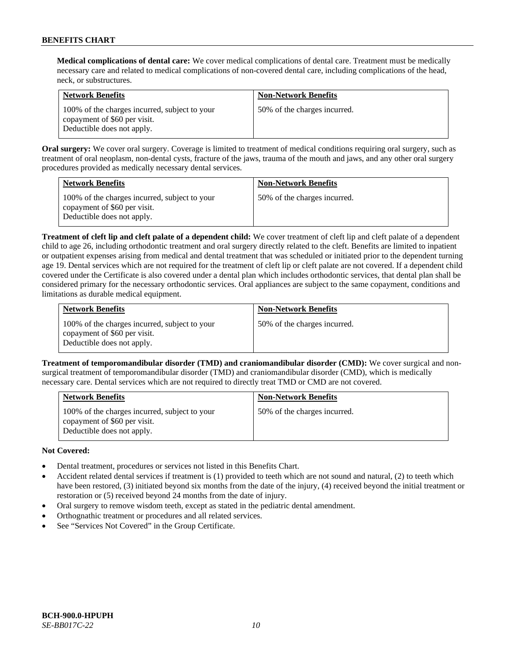**Medical complications of dental care:** We cover medical complications of dental care. Treatment must be medically necessary care and related to medical complications of non-covered dental care, including complications of the head, neck, or substructures.

| <b>Network Benefits</b>                                                                                     | <b>Non-Network Benefits</b>  |
|-------------------------------------------------------------------------------------------------------------|------------------------------|
| 100% of the charges incurred, subject to your<br>copayment of \$60 per visit.<br>Deductible does not apply. | 50% of the charges incurred. |

**Oral surgery:** We cover oral surgery. Coverage is limited to treatment of medical conditions requiring oral surgery, such as treatment of oral neoplasm, non-dental cysts, fracture of the jaws, trauma of the mouth and jaws, and any other oral surgery procedures provided as medically necessary dental services.

| <b>Network Benefits</b>                                                                                     | <b>Non-Network Benefits</b>  |
|-------------------------------------------------------------------------------------------------------------|------------------------------|
| 100% of the charges incurred, subject to your<br>copayment of \$60 per visit.<br>Deductible does not apply. | 50% of the charges incurred. |

**Treatment of cleft lip and cleft palate of a dependent child:** We cover treatment of cleft lip and cleft palate of a dependent child to age 26, including orthodontic treatment and oral surgery directly related to the cleft. Benefits are limited to inpatient or outpatient expenses arising from medical and dental treatment that was scheduled or initiated prior to the dependent turning age 19. Dental services which are not required for the treatment of cleft lip or cleft palate are not covered. If a dependent child covered under the Certificate is also covered under a dental plan which includes orthodontic services, that dental plan shall be considered primary for the necessary orthodontic services. Oral appliances are subject to the same copayment, conditions and limitations as durable medical equipment.

| <b>Network Benefits</b>                                                                                     | <b>Non-Network Benefits</b>  |
|-------------------------------------------------------------------------------------------------------------|------------------------------|
| 100% of the charges incurred, subject to your<br>copayment of \$60 per visit.<br>Deductible does not apply. | 50% of the charges incurred. |

**Treatment of temporomandibular disorder (TMD) and craniomandibular disorder (CMD):** We cover surgical and nonsurgical treatment of temporomandibular disorder (TMD) and craniomandibular disorder (CMD), which is medically necessary care. Dental services which are not required to directly treat TMD or CMD are not covered.

| <b>Network Benefits</b>                                                                                     | <b>Non-Network Benefits</b>  |
|-------------------------------------------------------------------------------------------------------------|------------------------------|
| 100% of the charges incurred, subject to your<br>copayment of \$60 per visit.<br>Deductible does not apply. | 50% of the charges incurred. |

### **Not Covered:**

- Dental treatment, procedures or services not listed in this Benefits Chart.
- Accident related dental services if treatment is (1) provided to teeth which are not sound and natural, (2) to teeth which have been restored, (3) initiated beyond six months from the date of the injury, (4) received beyond the initial treatment or restoration or (5) received beyond 24 months from the date of injury.
- Oral surgery to remove wisdom teeth, except as stated in the pediatric dental amendment.
- Orthognathic treatment or procedures and all related services.
- See "Services Not Covered" in the Group Certificate.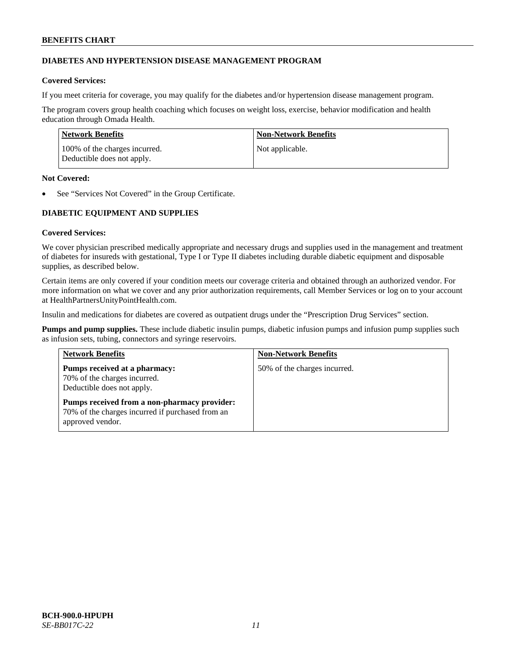### **DIABETES AND HYPERTENSION DISEASE MANAGEMENT PROGRAM**

### **Covered Services:**

If you meet criteria for coverage, you may qualify for the diabetes and/or hypertension disease management program.

The program covers group health coaching which focuses on weight loss, exercise, behavior modification and health education through Omada Health.

| Network Benefits                                            | Non-Network Benefits |
|-------------------------------------------------------------|----------------------|
| 100% of the charges incurred.<br>Deductible does not apply. | Not applicable.      |

### **Not Covered:**

See "Services Not Covered" in the Group Certificate.

# **DIABETIC EQUIPMENT AND SUPPLIES**

### **Covered Services:**

We cover physician prescribed medically appropriate and necessary drugs and supplies used in the management and treatment of diabetes for insureds with gestational, Type I or Type II diabetes including durable diabetic equipment and disposable supplies, as described below.

Certain items are only covered if your condition meets our coverage criteria and obtained through an authorized vendor. For more information on what we cover and any prior authorization requirements, call Member Services or log on to your account at [HealthPartnersUnityPointHealth.com.](https://www.healthpartnersunitypointhealth.com/)

Insulin and medications for diabetes are covered as outpatient drugs under the "Prescription Drug Services" section.

**Pumps and pump supplies.** These include diabetic insulin pumps, diabetic infusion pumps and infusion pump supplies such as infusion sets, tubing, connectors and syringe reservoirs.

| <b>Network Benefits</b>                                                                                              | <b>Non-Network Benefits</b>  |
|----------------------------------------------------------------------------------------------------------------------|------------------------------|
| Pumps received at a pharmacy:<br>70% of the charges incurred.<br>Deductible does not apply.                          | 50% of the charges incurred. |
| Pumps received from a non-pharmacy provider:<br>70% of the charges incurred if purchased from an<br>approved vendor. |                              |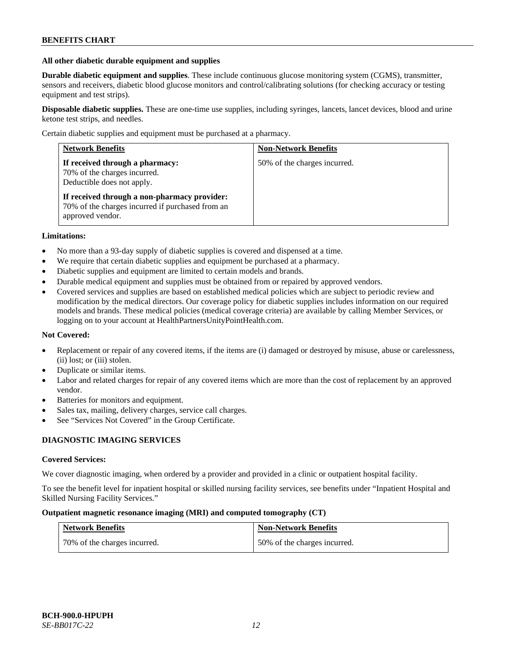#### **All other diabetic durable equipment and supplies**

**Durable diabetic equipment and supplies**. These include continuous glucose monitoring system (CGMS), transmitter, sensors and receivers, diabetic blood glucose monitors and control/calibrating solutions (for checking accuracy or testing equipment and test strips).

**Disposable diabetic supplies.** These are one-time use supplies, including syringes, lancets, lancet devices, blood and urine ketone test strips, and needles.

Certain diabetic supplies and equipment must be purchased at a pharmacy.

| <b>Network Benefits</b>                                                                                              | <b>Non-Network Benefits</b>  |
|----------------------------------------------------------------------------------------------------------------------|------------------------------|
| If received through a pharmacy:<br>70% of the charges incurred.<br>Deductible does not apply.                        | 50% of the charges incurred. |
| If received through a non-pharmacy provider:<br>70% of the charges incurred if purchased from an<br>approved vendor. |                              |

### **Limitations:**

- No more than a 93-day supply of diabetic supplies is covered and dispensed at a time.
- We require that certain diabetic supplies and equipment be purchased at a pharmacy.
- Diabetic supplies and equipment are limited to certain models and brands.
- Durable medical equipment and supplies must be obtained from or repaired by approved vendors.
- Covered services and supplies are based on established medical policies which are subject to periodic review and modification by the medical directors. Our coverage policy for diabetic supplies includes information on our required models and brands. These medical policies (medical coverage criteria) are available by calling Member Services, or logging on to your account a[t HealthPartnersUnityPointHealth.com.](https://www.healthpartnersunitypointhealth.com/)

### **Not Covered:**

- Replacement or repair of any covered items, if the items are (i) damaged or destroyed by misuse, abuse or carelessness, (ii) lost; or (iii) stolen.
- Duplicate or similar items.
- Labor and related charges for repair of any covered items which are more than the cost of replacement by an approved vendor.
- Batteries for monitors and equipment.
- Sales tax, mailing, delivery charges, service call charges.
- See "Services Not Covered" in the Group Certificate.

### **DIAGNOSTIC IMAGING SERVICES**

#### **Covered Services:**

We cover diagnostic imaging, when ordered by a provider and provided in a clinic or outpatient hospital facility.

To see the benefit level for inpatient hospital or skilled nursing facility services, see benefits under "Inpatient Hospital and Skilled Nursing Facility Services."

### **Outpatient magnetic resonance imaging (MRI) and computed tomography (CT)**

| <b>Network Benefits</b>      | <b>Non-Network Benefits</b>  |
|------------------------------|------------------------------|
| 70% of the charges incurred. | 50% of the charges incurred. |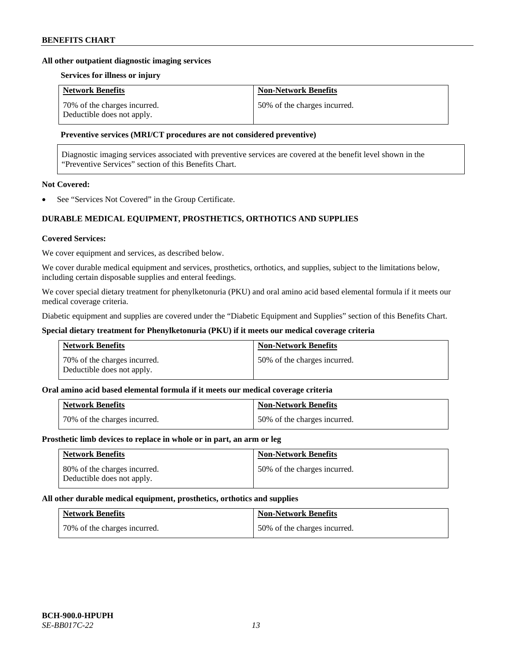#### **All other outpatient diagnostic imaging services**

#### **Services for illness or injury**

| <b>Network Benefits</b>                                    | <b>Non-Network Benefits</b>  |
|------------------------------------------------------------|------------------------------|
| 70% of the charges incurred.<br>Deductible does not apply. | 50% of the charges incurred. |

### **Preventive services (MRI/CT procedures are not considered preventive)**

Diagnostic imaging services associated with preventive services are covered at the benefit level shown in the "Preventive Services" section of this Benefits Chart.

# **Not Covered:**

See "Services Not Covered" in the Group Certificate.

# **DURABLE MEDICAL EQUIPMENT, PROSTHETICS, ORTHOTICS AND SUPPLIES**

#### **Covered Services:**

We cover equipment and services, as described below.

We cover durable medical equipment and services, prosthetics, orthotics, and supplies, subject to the limitations below, including certain disposable supplies and enteral feedings.

We cover special dietary treatment for phenylketonuria (PKU) and oral amino acid based elemental formula if it meets our medical coverage criteria.

Diabetic equipment and supplies are covered under the "Diabetic Equipment and Supplies" section of this Benefits Chart.

### **Special dietary treatment for Phenylketonuria (PKU) if it meets our medical coverage criteria**

| <b>Network Benefits</b>                                    | <b>Non-Network Benefits</b>  |
|------------------------------------------------------------|------------------------------|
| 70% of the charges incurred.<br>Deductible does not apply. | 50% of the charges incurred. |

### **Oral amino acid based elemental formula if it meets our medical coverage criteria**

| <b>Network Benefits</b>      | <b>Non-Network Benefits</b>  |
|------------------------------|------------------------------|
| 70% of the charges incurred. | 50% of the charges incurred. |

#### **Prosthetic limb devices to replace in whole or in part, an arm or leg**

| <b>Network Benefits</b>                                    | <b>Non-Network Benefits</b>  |
|------------------------------------------------------------|------------------------------|
| 80% of the charges incurred.<br>Deductible does not apply. | 50% of the charges incurred. |

#### **All other durable medical equipment, prosthetics, orthotics and supplies**

| <b>Network Benefits</b>      | <b>Non-Network Benefits</b>  |
|------------------------------|------------------------------|
| 70% of the charges incurred. | 50% of the charges incurred. |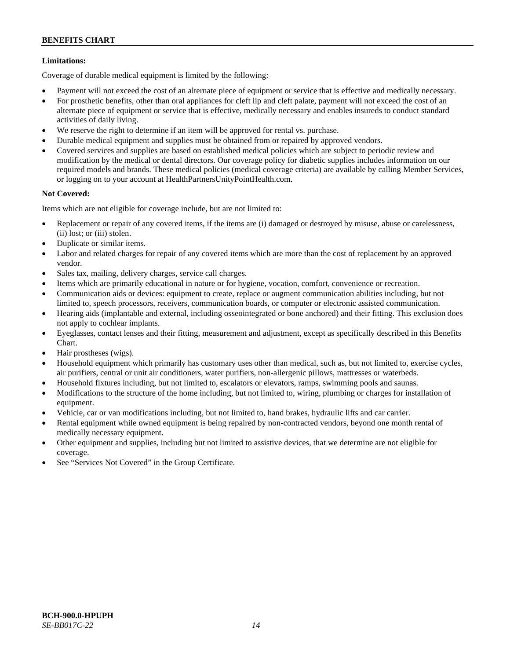### **Limitations:**

Coverage of durable medical equipment is limited by the following:

- Payment will not exceed the cost of an alternate piece of equipment or service that is effective and medically necessary.
- For prosthetic benefits, other than oral appliances for cleft lip and cleft palate, payment will not exceed the cost of an alternate piece of equipment or service that is effective, medically necessary and enables insureds to conduct standard activities of daily living.
- We reserve the right to determine if an item will be approved for rental vs. purchase.
- Durable medical equipment and supplies must be obtained from or repaired by approved vendors.
- Covered services and supplies are based on established medical policies which are subject to periodic review and modification by the medical or dental directors. Our coverage policy for diabetic supplies includes information on our required models and brands. These medical policies (medical coverage criteria) are available by calling Member Services, or logging on to your account at [HealthPartnersUnityPointHealth.com.](https://www.healthpartnersunitypointhealth.com/)

### **Not Covered:**

Items which are not eligible for coverage include, but are not limited to:

- Replacement or repair of any covered items, if the items are (i) damaged or destroyed by misuse, abuse or carelessness, (ii) lost; or (iii) stolen.
- Duplicate or similar items.
- Labor and related charges for repair of any covered items which are more than the cost of replacement by an approved vendor.
- Sales tax, mailing, delivery charges, service call charges.
- Items which are primarily educational in nature or for hygiene, vocation, comfort, convenience or recreation.
- Communication aids or devices: equipment to create, replace or augment communication abilities including, but not limited to, speech processors, receivers, communication boards, or computer or electronic assisted communication.
- Hearing aids (implantable and external, including osseointegrated or bone anchored) and their fitting. This exclusion does not apply to cochlear implants.
- Eyeglasses, contact lenses and their fitting, measurement and adjustment, except as specifically described in this Benefits Chart.
- Hair prostheses (wigs).
- Household equipment which primarily has customary uses other than medical, such as, but not limited to, exercise cycles, air purifiers, central or unit air conditioners, water purifiers, non-allergenic pillows, mattresses or waterbeds.
- Household fixtures including, but not limited to, escalators or elevators, ramps, swimming pools and saunas.
- Modifications to the structure of the home including, but not limited to, wiring, plumbing or charges for installation of equipment.
- Vehicle, car or van modifications including, but not limited to, hand brakes, hydraulic lifts and car carrier.
- Rental equipment while owned equipment is being repaired by non-contracted vendors, beyond one month rental of medically necessary equipment.
- Other equipment and supplies, including but not limited to assistive devices, that we determine are not eligible for coverage.
- See "Services Not Covered" in the Group Certificate.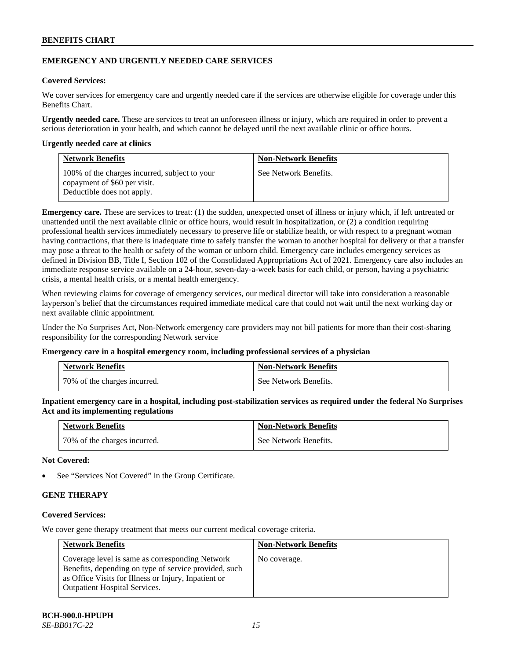### **EMERGENCY AND URGENTLY NEEDED CARE SERVICES**

### **Covered Services:**

We cover services for emergency care and urgently needed care if the services are otherwise eligible for coverage under this Benefits Chart.

**Urgently needed care.** These are services to treat an unforeseen illness or injury, which are required in order to prevent a serious deterioration in your health, and which cannot be delayed until the next available clinic or office hours.

#### **Urgently needed care at clinics**

| <b>Network Benefits</b>                                                                                     | <b>Non-Network Benefits</b> |
|-------------------------------------------------------------------------------------------------------------|-----------------------------|
| 100% of the charges incurred, subject to your<br>copayment of \$60 per visit.<br>Deductible does not apply. | See Network Benefits.       |

**Emergency care.** These are services to treat: (1) the sudden, unexpected onset of illness or injury which, if left untreated or unattended until the next available clinic or office hours, would result in hospitalization, or (2) a condition requiring professional health services immediately necessary to preserve life or stabilize health, or with respect to a pregnant woman having contractions, that there is inadequate time to safely transfer the woman to another hospital for delivery or that a transfer may pose a threat to the health or safety of the woman or unborn child. Emergency care includes emergency services as defined in Division BB, Title I, Section 102 of the Consolidated Appropriations Act of 2021. Emergency care also includes an immediate response service available on a 24-hour, seven-day-a-week basis for each child, or person, having a psychiatric crisis, a mental health crisis, or a mental health emergency.

When reviewing claims for coverage of emergency services, our medical director will take into consideration a reasonable layperson's belief that the circumstances required immediate medical care that could not wait until the next working day or next available clinic appointment.

Under the No Surprises Act, Non-Network emergency care providers may not bill patients for more than their cost-sharing responsibility for the corresponding Network service

#### **Emergency care in a hospital emergency room, including professional services of a physician**

| <b>Network Benefits</b>      | <b>Non-Network Benefits</b> |
|------------------------------|-----------------------------|
| 70% of the charges incurred. | See Network Benefits.       |

**Inpatient emergency care in a hospital, including post-stabilization services as required under the federal No Surprises Act and its implementing regulations**

| <b>Network Benefits</b>      | <b>Non-Network Benefits</b> |
|------------------------------|-----------------------------|
| 70% of the charges incurred. | See Network Benefits.       |

### **Not Covered:**

See "Services Not Covered" in the Group Certificate.

# **GENE THERAPY**

### **Covered Services:**

We cover gene therapy treatment that meets our current medical coverage criteria.

| <b>Network Benefits</b>                                                                                                                                                                                  | <b>Non-Network Benefits</b> |
|----------------------------------------------------------------------------------------------------------------------------------------------------------------------------------------------------------|-----------------------------|
| Coverage level is same as corresponding Network<br>Benefits, depending on type of service provided, such<br>as Office Visits for Illness or Injury, Inpatient or<br><b>Outpatient Hospital Services.</b> | No coverage.                |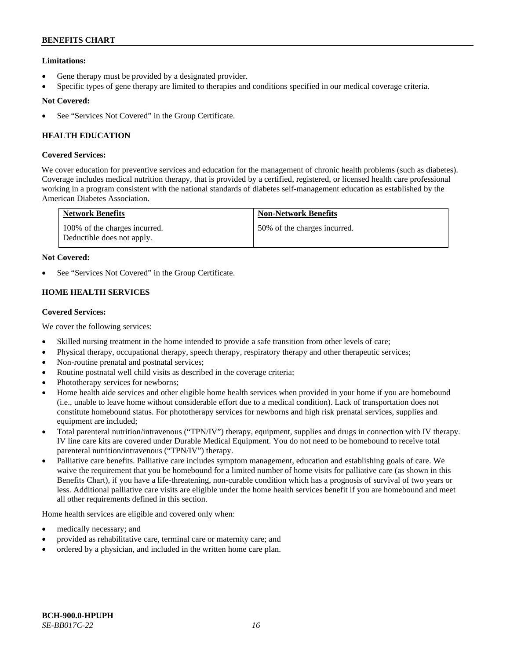### **Limitations:**

- Gene therapy must be provided by a designated provider.
- Specific types of gene therapy are limited to therapies and conditions specified in our medical coverage criteria.

### **Not Covered:**

See "Services Not Covered" in the Group Certificate.

# **HEALTH EDUCATION**

### **Covered Services:**

We cover education for preventive services and education for the management of chronic health problems (such as diabetes). Coverage includes medical nutrition therapy, that is provided by a certified, registered, or licensed health care professional working in a program consistent with the national standards of diabetes self-management education as established by the American Diabetes Association.

| <b>Network Benefits</b>                                     | <b>Non-Network Benefits</b>  |
|-------------------------------------------------------------|------------------------------|
| 100% of the charges incurred.<br>Deductible does not apply. | 50% of the charges incurred. |

### **Not Covered:**

See "Services Not Covered" in the Group Certificate.

# **HOME HEALTH SERVICES**

### **Covered Services:**

We cover the following services:

- Skilled nursing treatment in the home intended to provide a safe transition from other levels of care;
- Physical therapy, occupational therapy, speech therapy, respiratory therapy and other therapeutic services;
- Non-routine prenatal and postnatal services;
- Routine postnatal well child visits as described in the coverage criteria;
- Phototherapy services for newborns;
- Home health aide services and other eligible home health services when provided in your home if you are homebound (i.e., unable to leave home without considerable effort due to a medical condition). Lack of transportation does not constitute homebound status. For phototherapy services for newborns and high risk prenatal services, supplies and equipment are included;
- Total parenteral nutrition/intravenous ("TPN/IV") therapy, equipment, supplies and drugs in connection with IV therapy. IV line care kits are covered under Durable Medical Equipment. You do not need to be homebound to receive total parenteral nutrition/intravenous ("TPN/IV") therapy.
- Palliative care benefits. Palliative care includes symptom management, education and establishing goals of care. We waive the requirement that you be homebound for a limited number of home visits for palliative care (as shown in this Benefits Chart), if you have a life-threatening, non-curable condition which has a prognosis of survival of two years or less. Additional palliative care visits are eligible under the home health services benefit if you are homebound and meet all other requirements defined in this section.

Home health services are eligible and covered only when:

- medically necessary; and
- provided as rehabilitative care, terminal care or maternity care; and
- ordered by a physician, and included in the written home care plan.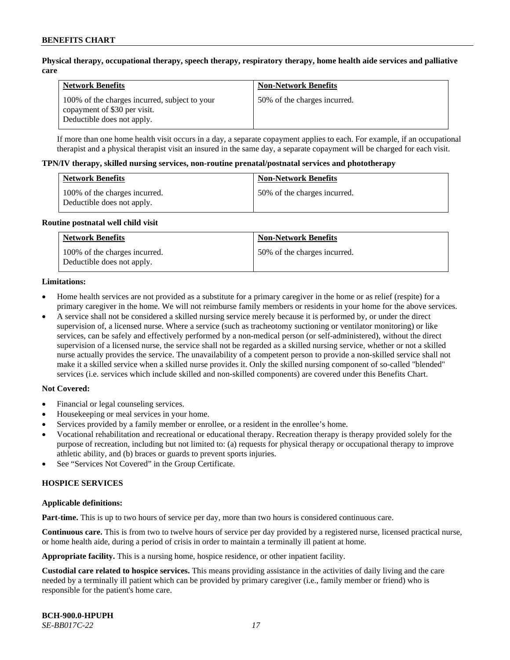### **Physical therapy, occupational therapy, speech therapy, respiratory therapy, home health aide services and palliative care**

| <b>Network Benefits</b>                                                                                     | <b>Non-Network Benefits</b>  |
|-------------------------------------------------------------------------------------------------------------|------------------------------|
| 100% of the charges incurred, subject to your<br>copayment of \$30 per visit.<br>Deductible does not apply. | 50% of the charges incurred. |

If more than one home health visit occurs in a day, a separate copayment applies to each. For example, if an occupational therapist and a physical therapist visit an insured in the same day, a separate copayment will be charged for each visit.

#### **TPN/IV therapy, skilled nursing services, non-routine prenatal/postnatal services and phototherapy**

| <b>Network Benefits</b>                                     | <b>Non-Network Benefits</b>  |
|-------------------------------------------------------------|------------------------------|
| 100% of the charges incurred.<br>Deductible does not apply. | 50% of the charges incurred. |

#### **Routine postnatal well child visit**

| <b>Network Benefits</b>                                     | <b>Non-Network Benefits</b>  |
|-------------------------------------------------------------|------------------------------|
| 100% of the charges incurred.<br>Deductible does not apply. | 50% of the charges incurred. |

#### **Limitations:**

- Home health services are not provided as a substitute for a primary caregiver in the home or as relief (respite) for a primary caregiver in the home. We will not reimburse family members or residents in your home for the above services.
- A service shall not be considered a skilled nursing service merely because it is performed by, or under the direct supervision of, a licensed nurse. Where a service (such as tracheotomy suctioning or ventilator monitoring) or like services, can be safely and effectively performed by a non-medical person (or self-administered), without the direct supervision of a licensed nurse, the service shall not be regarded as a skilled nursing service, whether or not a skilled nurse actually provides the service. The unavailability of a competent person to provide a non-skilled service shall not make it a skilled service when a skilled nurse provides it. Only the skilled nursing component of so-called "blended" services (i.e. services which include skilled and non-skilled components) are covered under this Benefits Chart.

#### **Not Covered:**

- Financial or legal counseling services.
- Housekeeping or meal services in your home.
- Services provided by a family member or enrollee, or a resident in the enrollee's home.
- Vocational rehabilitation and recreational or educational therapy. Recreation therapy is therapy provided solely for the purpose of recreation, including but not limited to: (a) requests for physical therapy or occupational therapy to improve athletic ability, and (b) braces or guards to prevent sports injuries.
- See "Services Not Covered" in the Group Certificate.

### **HOSPICE SERVICES**

#### **Applicable definitions:**

**Part-time.** This is up to two hours of service per day, more than two hours is considered continuous care.

**Continuous care.** This is from two to twelve hours of service per day provided by a registered nurse, licensed practical nurse, or home health aide, during a period of crisis in order to maintain a terminally ill patient at home.

**Appropriate facility.** This is a nursing home, hospice residence, or other inpatient facility.

**Custodial care related to hospice services.** This means providing assistance in the activities of daily living and the care needed by a terminally ill patient which can be provided by primary caregiver (i.e., family member or friend) who is responsible for the patient's home care.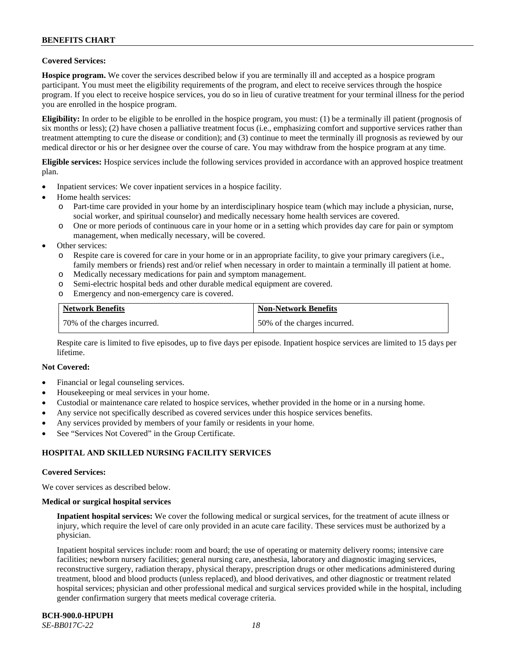### **Covered Services:**

**Hospice program.** We cover the services described below if you are terminally ill and accepted as a hospice program participant. You must meet the eligibility requirements of the program, and elect to receive services through the hospice program. If you elect to receive hospice services, you do so in lieu of curative treatment for your terminal illness for the period you are enrolled in the hospice program.

**Eligibility:** In order to be eligible to be enrolled in the hospice program, you must: (1) be a terminally ill patient (prognosis of six months or less); (2) have chosen a palliative treatment focus (i.e., emphasizing comfort and supportive services rather than treatment attempting to cure the disease or condition); and (3) continue to meet the terminally ill prognosis as reviewed by our medical director or his or her designee over the course of care. You may withdraw from the hospice program at any time.

**Eligible services:** Hospice services include the following services provided in accordance with an approved hospice treatment plan.

- Inpatient services: We cover inpatient services in a hospice facility.
- Home health services:
	- o Part-time care provided in your home by an interdisciplinary hospice team (which may include a physician, nurse, social worker, and spiritual counselor) and medically necessary home health services are covered.
	- One or more periods of continuous care in your home or in a setting which provides day care for pain or symptom management, when medically necessary, will be covered.
- Other services:
	- o Respite care is covered for care in your home or in an appropriate facility, to give your primary caregivers (i.e., family members or friends) rest and/or relief when necessary in order to maintain a terminally ill patient at home.
	- o Medically necessary medications for pain and symptom management.
	- o Semi-electric hospital beds and other durable medical equipment are covered.
	- o Emergency and non-emergency care is covered.

| <b>Network Benefits</b>      | <b>Non-Network Benefits</b>  |
|------------------------------|------------------------------|
| 70% of the charges incurred. | 50% of the charges incurred. |

Respite care is limited to five episodes, up to five days per episode. Inpatient hospice services are limited to 15 days per lifetime.

#### **Not Covered:**

- Financial or legal counseling services.
- Housekeeping or meal services in your home.
- Custodial or maintenance care related to hospice services, whether provided in the home or in a nursing home.
- Any service not specifically described as covered services under this hospice services benefits.
- Any services provided by members of your family or residents in your home.
- See "Services Not Covered" in the Group Certificate.

### **HOSPITAL AND SKILLED NURSING FACILITY SERVICES**

#### **Covered Services:**

We cover services as described below.

#### **Medical or surgical hospital services**

**Inpatient hospital services:** We cover the following medical or surgical services, for the treatment of acute illness or injury, which require the level of care only provided in an acute care facility. These services must be authorized by a physician.

Inpatient hospital services include: room and board; the use of operating or maternity delivery rooms; intensive care facilities; newborn nursery facilities; general nursing care, anesthesia, laboratory and diagnostic imaging services, reconstructive surgery, radiation therapy, physical therapy, prescription drugs or other medications administered during treatment, blood and blood products (unless replaced), and blood derivatives, and other diagnostic or treatment related hospital services; physician and other professional medical and surgical services provided while in the hospital, including gender confirmation surgery that meets medical coverage criteria.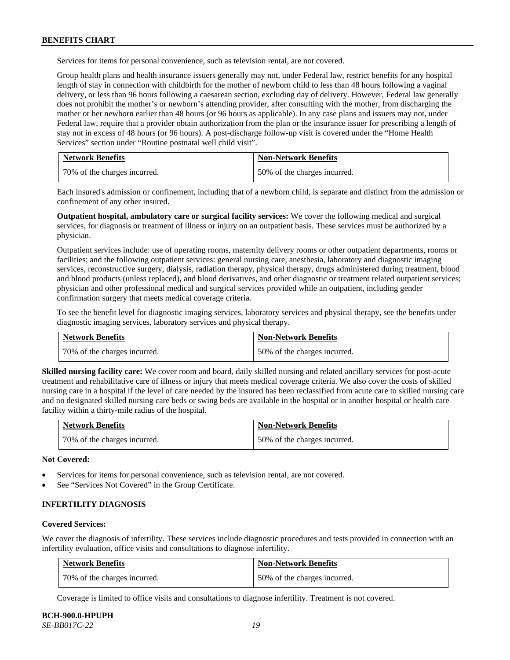Services for items for personal convenience, such as television rental, are not covered.

Group health plans and health insurance issuers generally may not, under Federal law, restrict benefits for any hospital length of stay in connection with childbirth for the mother of newborn child to less than 48 hours following a vaginal delivery, or less than 96 hours following a caesarean section, excluding day of delivery. However, Federal law generally does not prohibit the mother's or newborn's attending provider, after consulting with the mother, from discharging the mother or her newborn earlier than 48 hours (or 96 hours as applicable). In any case plans and issuers may not, under Federal law, require that a provider obtain authorization from the plan or the insurance issuer for prescribing a length of stay not in excess of 48 hours (or 96 hours). A post-discharge follow-up visit is covered under the "Home Health Services" section under "Routine postnatal well child visit".

| <b>Network Benefits</b>      | <b>Non-Network Benefits</b>  |
|------------------------------|------------------------------|
| 70% of the charges incurred. | 50% of the charges incurred. |

Each insured's admission or confinement, including that of a newborn child, is separate and distinct from the admission or confinement of any other insured.

**Outpatient hospital, ambulatory care or surgical facility services:** We cover the following medical and surgical services, for diagnosis or treatment of illness or injury on an outpatient basis. These services must be authorized by a physician.

Outpatient services include: use of operating rooms, maternity delivery rooms or other outpatient departments, rooms or facilities; and the following outpatient services: general nursing care, anesthesia, laboratory and diagnostic imaging services, reconstructive surgery, dialysis, radiation therapy, physical therapy, drugs administered during treatment, blood and blood products (unless replaced), and blood derivatives, and other diagnostic or treatment related outpatient services; physician and other professional medical and surgical services provided while an outpatient, including gender confirmation surgery that meets medical coverage criteria.

To see the benefit level for diagnostic imaging services, laboratory services and physical therapy, see the benefits under diagnostic imaging services, laboratory services and physical therapy.

| <b>Network Benefits</b>      | <b>Non-Network Benefits</b>  |
|------------------------------|------------------------------|
| 70% of the charges incurred. | 50% of the charges incurred. |

**Skilled nursing facility care:** We cover room and board, daily skilled nursing and related ancillary services for post-acute treatment and rehabilitative care of illness or injury that meets medical coverage criteria. We also cover the costs of skilled nursing care in a hospital if the level of care needed by the insured has been reclassified from acute care to skilled nursing care and no designated skilled nursing care beds or swing beds are available in the hospital or in another hospital or health care facility within a thirty-mile radius of the hospital.

| <b>Network Benefits</b>      | <b>Non-Network Benefits</b>  |
|------------------------------|------------------------------|
| 70% of the charges incurred. | 50% of the charges incurred. |

**Not Covered:**

- Services for items for personal convenience, such as television rental, are not covered.
- See "Services Not Covered" in the Group Certificate.

#### **INFERTILITY DIAGNOSIS**

#### **Covered Services:**

We cover the diagnosis of infertility. These services include diagnostic procedures and tests provided in connection with an infertility evaluation, office visits and consultations to diagnose infertility.

| <b>Network Benefits</b>      | <b>Non-Network Benefits</b>  |
|------------------------------|------------------------------|
| 70% of the charges incurred. | 50% of the charges incurred. |

Coverage is limited to office visits and consultations to diagnose infertility. Treatment is not covered.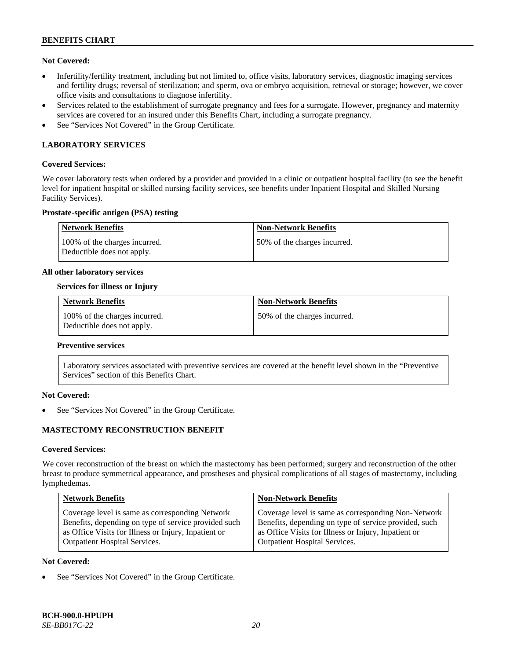### **Not Covered:**

- Infertility/fertility treatment, including but not limited to, office visits, laboratory services, diagnostic imaging services and fertility drugs; reversal of sterilization; and sperm, ova or embryo acquisition, retrieval or storage; however, we cover office visits and consultations to diagnose infertility.
- Services related to the establishment of surrogate pregnancy and fees for a surrogate. However, pregnancy and maternity services are covered for an insured under this Benefits Chart, including a surrogate pregnancy.
- See "Services Not Covered" in the Group Certificate.

### **LABORATORY SERVICES**

#### **Covered Services:**

We cover laboratory tests when ordered by a provider and provided in a clinic or outpatient hospital facility (to see the benefit level for inpatient hospital or skilled nursing facility services, see benefits under Inpatient Hospital and Skilled Nursing Facility Services).

### **Prostate-specific antigen (PSA) testing**

| <b>Network Benefits</b>                                     | <b>Non-Network Benefits</b>  |
|-------------------------------------------------------------|------------------------------|
| 100% of the charges incurred.<br>Deductible does not apply. | 50% of the charges incurred. |

#### **All other laboratory services**

### **Services for illness or Injury**

| <b>Network Benefits</b>                                     | <b>Non-Network Benefits</b>  |
|-------------------------------------------------------------|------------------------------|
| 100% of the charges incurred.<br>Deductible does not apply. | 50% of the charges incurred. |

#### **Preventive services**

Laboratory services associated with preventive services are covered at the benefit level shown in the "Preventive Services" section of this Benefits Chart.

### **Not Covered:**

See "Services Not Covered" in the Group Certificate.

### **MASTECTOMY RECONSTRUCTION BENEFIT**

#### **Covered Services:**

We cover reconstruction of the breast on which the mastectomy has been performed; surgery and reconstruction of the other breast to produce symmetrical appearance, and prostheses and physical complications of all stages of mastectomy, including lymphedemas.

| <b>Non-Network Benefits</b>                                                                                                                                                                                  |
|--------------------------------------------------------------------------------------------------------------------------------------------------------------------------------------------------------------|
| Coverage level is same as corresponding Non-Network<br>Benefits, depending on type of service provided, such<br>as Office Visits for Illness or Injury, Inpatient or<br><b>Outpatient Hospital Services.</b> |
|                                                                                                                                                                                                              |

#### **Not Covered:**

See "Services Not Covered" in the Group Certificate.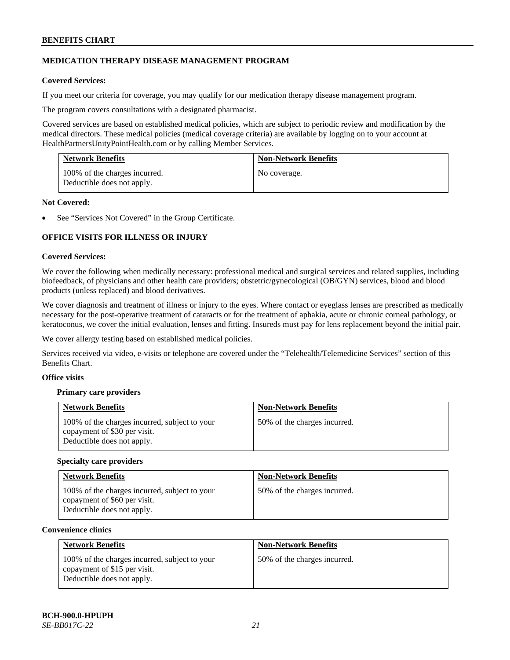### **MEDICATION THERAPY DISEASE MANAGEMENT PROGRAM**

### **Covered Services:**

If you meet our criteria for coverage, you may qualify for our medication therapy disease management program.

The program covers consultations with a designated pharmacist.

Covered services are based on established medical policies, which are subject to periodic review and modification by the medical directors. These medical policies (medical coverage criteria) are available by logging on to your account at [HealthPartnersUnityPointHealth.com](https://www.healthpartnersunitypointhealth.com/) or by calling Member Services.

| <b>Network Benefits</b>                                     | <b>Non-Network Benefits</b> |
|-------------------------------------------------------------|-----------------------------|
| 100% of the charges incurred.<br>Deductible does not apply. | No coverage.                |

### **Not Covered:**

See "Services Not Covered" in the Group Certificate.

### **OFFICE VISITS FOR ILLNESS OR INJURY**

### **Covered Services:**

We cover the following when medically necessary: professional medical and surgical services and related supplies, including biofeedback, of physicians and other health care providers; obstetric/gynecological (OB/GYN) services, blood and blood products (unless replaced) and blood derivatives.

We cover diagnosis and treatment of illness or injury to the eyes. Where contact or eyeglass lenses are prescribed as medically necessary for the post-operative treatment of cataracts or for the treatment of aphakia, acute or chronic corneal pathology, or keratoconus, we cover the initial evaluation, lenses and fitting. Insureds must pay for lens replacement beyond the initial pair.

We cover allergy testing based on established medical policies.

Services received via video, e-visits or telephone are covered under the "Telehealth/Telemedicine Services" section of this Benefits Chart.

### **Office visits**

### **Primary care providers**

| <b>Network Benefits</b>                                                                                     | <b>Non-Network Benefits</b>  |
|-------------------------------------------------------------------------------------------------------------|------------------------------|
| 100% of the charges incurred, subject to your<br>copayment of \$30 per visit.<br>Deductible does not apply. | 50% of the charges incurred. |

#### **Specialty care providers**

| <b>Network Benefits</b>                                                                                     | <b>Non-Network Benefits</b>  |
|-------------------------------------------------------------------------------------------------------------|------------------------------|
| 100% of the charges incurred, subject to your<br>copayment of \$60 per visit.<br>Deductible does not apply. | 50% of the charges incurred. |

#### **Convenience clinics**

| <b>Network Benefits</b>                                                                                     | <b>Non-Network Benefits</b>  |
|-------------------------------------------------------------------------------------------------------------|------------------------------|
| 100% of the charges incurred, subject to your<br>copayment of \$15 per visit.<br>Deductible does not apply. | 50% of the charges incurred. |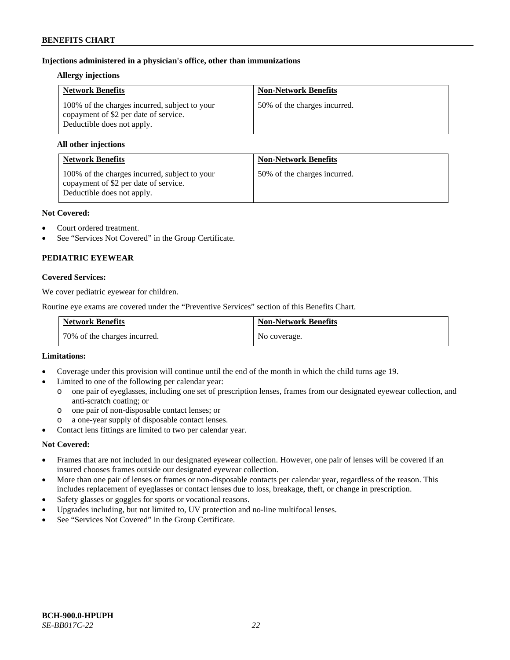### **Injections administered in a physician's office, other than immunizations**

#### **Allergy injections**

| <b>Network Benefits</b>                                                                                              | <b>Non-Network Benefits</b>  |
|----------------------------------------------------------------------------------------------------------------------|------------------------------|
| 100% of the charges incurred, subject to your<br>copayment of \$2 per date of service.<br>Deductible does not apply. | 50% of the charges incurred. |

### **All other injections**

| <b>Network Benefits</b>                                                                                              | <b>Non-Network Benefits</b>  |
|----------------------------------------------------------------------------------------------------------------------|------------------------------|
| 100% of the charges incurred, subject to your<br>copayment of \$2 per date of service.<br>Deductible does not apply. | 50% of the charges incurred. |

### **Not Covered:**

- Court ordered treatment.
- See "Services Not Covered" in the Group Certificate.

# **PEDIATRIC EYEWEAR**

### **Covered Services:**

We cover pediatric eyewear for children.

Routine eye exams are covered under the "Preventive Services" section of this Benefits Chart.

| <b>Network Benefits</b>      | <b>Non-Network Benefits</b> |
|------------------------------|-----------------------------|
| 70% of the charges incurred. | No coverage.                |

#### **Limitations:**

- Coverage under this provision will continue until the end of the month in which the child turns age 19.
- Limited to one of the following per calendar year:
	- o one pair of eyeglasses, including one set of prescription lenses, frames from our designated eyewear collection, and anti-scratch coating; or
	- o one pair of non-disposable contact lenses; or
	- a one-year supply of disposable contact lenses.
- Contact lens fittings are limited to two per calendar year.

### **Not Covered:**

- Frames that are not included in our designated eyewear collection. However, one pair of lenses will be covered if an insured chooses frames outside our designated eyewear collection.
- More than one pair of lenses or frames or non-disposable contacts per calendar year, regardless of the reason. This includes replacement of eyeglasses or contact lenses due to loss, breakage, theft, or change in prescription.
- Safety glasses or goggles for sports or vocational reasons.
- Upgrades including, but not limited to, UV protection and no-line multifocal lenses.
- See "Services Not Covered" in the Group Certificate.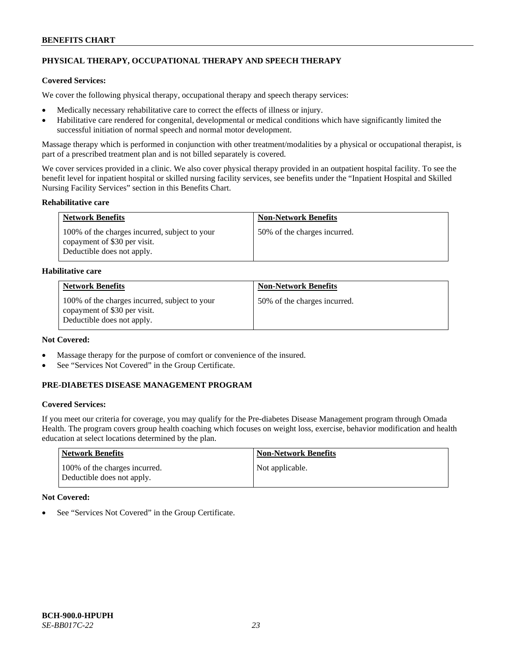# **PHYSICAL THERAPY, OCCUPATIONAL THERAPY AND SPEECH THERAPY**

## **Covered Services:**

We cover the following physical therapy, occupational therapy and speech therapy services:

- Medically necessary rehabilitative care to correct the effects of illness or injury.
- Habilitative care rendered for congenital, developmental or medical conditions which have significantly limited the successful initiation of normal speech and normal motor development.

Massage therapy which is performed in conjunction with other treatment/modalities by a physical or occupational therapist, is part of a prescribed treatment plan and is not billed separately is covered.

We cover services provided in a clinic. We also cover physical therapy provided in an outpatient hospital facility. To see the benefit level for inpatient hospital or skilled nursing facility services, see benefits under the "Inpatient Hospital and Skilled Nursing Facility Services" section in this Benefits Chart.

### **Rehabilitative care**

| <b>Network Benefits</b>                                                                                     | <b>Non-Network Benefits</b>  |
|-------------------------------------------------------------------------------------------------------------|------------------------------|
| 100% of the charges incurred, subject to your<br>copayment of \$30 per visit.<br>Deductible does not apply. | 50% of the charges incurred. |

### **Habilitative care**

| <b>Network Benefits</b>                                                                                     | <b>Non-Network Benefits</b>  |
|-------------------------------------------------------------------------------------------------------------|------------------------------|
| 100% of the charges incurred, subject to your<br>copayment of \$30 per visit.<br>Deductible does not apply. | 50% of the charges incurred. |

# **Not Covered:**

- Massage therapy for the purpose of comfort or convenience of the insured.
- See "Services Not Covered" in the Group Certificate.

### **PRE-DIABETES DISEASE MANAGEMENT PROGRAM**

### **Covered Services:**

If you meet our criteria for coverage, you may qualify for the Pre-diabetes Disease Management program through Omada Health. The program covers group health coaching which focuses on weight loss, exercise, behavior modification and health education at select locations determined by the plan.

| Network Benefits                                            | <b>Non-Network Benefits</b> |
|-------------------------------------------------------------|-----------------------------|
| 100% of the charges incurred.<br>Deductible does not apply. | Not applicable.             |

### **Not Covered:**

See "Services Not Covered" in the Group Certificate.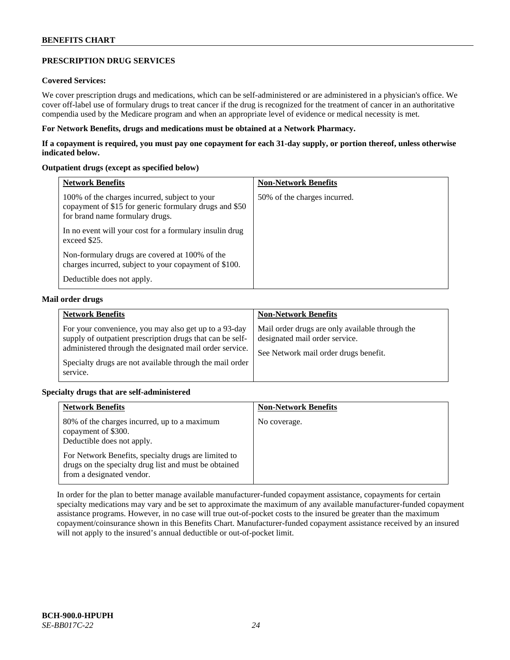### **PRESCRIPTION DRUG SERVICES**

### **Covered Services:**

We cover prescription drugs and medications, which can be self-administered or are administered in a physician's office. We cover off-label use of formulary drugs to treat cancer if the drug is recognized for the treatment of cancer in an authoritative compendia used by the Medicare program and when an appropriate level of evidence or medical necessity is met.

### **For Network Benefits, drugs and medications must be obtained at a Network Pharmacy.**

**If a copayment is required, you must pay one copayment for each 31-day supply, or portion thereof, unless otherwise indicated below.**

### **Outpatient drugs (except as specified below)**

| <b>Network Benefits</b>                                                                                                                    | <b>Non-Network Benefits</b>  |
|--------------------------------------------------------------------------------------------------------------------------------------------|------------------------------|
| 100% of the charges incurred, subject to your<br>copayment of \$15 for generic formulary drugs and \$50<br>for brand name formulary drugs. | 50% of the charges incurred. |
| In no event will your cost for a formulary insulin drug<br>exceed \$25.                                                                    |                              |
| Non-formulary drugs are covered at 100% of the<br>charges incurred, subject to your copayment of \$100.                                    |                              |
| Deductible does not apply.                                                                                                                 |                              |

#### **Mail order drugs**

| <b>Network Benefits</b>                                                                                                                                                                                                                               | <b>Non-Network Benefits</b>                                                                                                |
|-------------------------------------------------------------------------------------------------------------------------------------------------------------------------------------------------------------------------------------------------------|----------------------------------------------------------------------------------------------------------------------------|
| For your convenience, you may also get up to a 93-day<br>supply of outpatient prescription drugs that can be self-<br>administered through the designated mail order service.<br>Specialty drugs are not available through the mail order<br>service. | Mail order drugs are only available through the<br>designated mail order service.<br>See Network mail order drugs benefit. |

### **Specialty drugs that are self-administered**

| <b>Network Benefits</b>                                                                                                                    | <b>Non-Network Benefits</b> |
|--------------------------------------------------------------------------------------------------------------------------------------------|-----------------------------|
| 80% of the charges incurred, up to a maximum<br>copayment of \$300.<br>Deductible does not apply.                                          | No coverage.                |
| For Network Benefits, specialty drugs are limited to<br>drugs on the specialty drug list and must be obtained<br>from a designated vendor. |                             |

In order for the plan to better manage available manufacturer-funded copayment assistance, copayments for certain specialty medications may vary and be set to approximate the maximum of any available manufacturer-funded copayment assistance programs. However, in no case will true out-of-pocket costs to the insured be greater than the maximum copayment/coinsurance shown in this Benefits Chart. Manufacturer-funded copayment assistance received by an insured will not apply to the insured's annual deductible or out-of-pocket limit.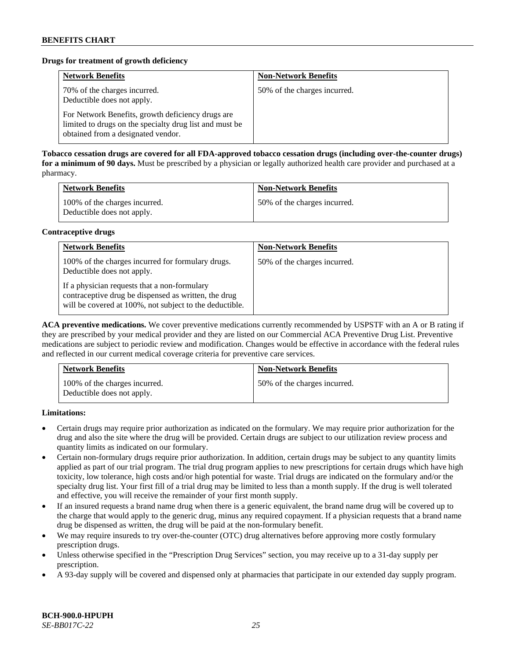### **Drugs for treatment of growth deficiency**

| <b>Network Benefits</b>                                                                                                                            | <b>Non-Network Benefits</b>  |
|----------------------------------------------------------------------------------------------------------------------------------------------------|------------------------------|
| 70% of the charges incurred.<br>Deductible does not apply.                                                                                         | 50% of the charges incurred. |
| For Network Benefits, growth deficiency drugs are<br>limited to drugs on the specialty drug list and must be<br>obtained from a designated vendor. |                              |

**Tobacco cessation drugs are covered for all FDA-approved tobacco cessation drugs (including over-the-counter drugs) for a minimum of 90 days.** Must be prescribed by a physician or legally authorized health care provider and purchased at a pharmacy.

| <b>Network Benefits</b>                                     | <b>Non-Network Benefits</b>  |
|-------------------------------------------------------------|------------------------------|
| 100% of the charges incurred.<br>Deductible does not apply. | 50% of the charges incurred. |

### **Contraceptive drugs**

| <b>Network Benefits</b>                                                                                                                                         | <b>Non-Network Benefits</b>  |
|-----------------------------------------------------------------------------------------------------------------------------------------------------------------|------------------------------|
| 100% of the charges incurred for formulary drugs.<br>Deductible does not apply.                                                                                 | 50% of the charges incurred. |
| If a physician requests that a non-formulary<br>contraceptive drug be dispensed as written, the drug<br>will be covered at 100%, not subject to the deductible. |                              |

**ACA preventive medications.** We cover preventive medications currently recommended by USPSTF with an A or B rating if they are prescribed by your medical provider and they are listed on our Commercial ACA Preventive Drug List. Preventive medications are subject to periodic review and modification. Changes would be effective in accordance with the federal rules and reflected in our current medical coverage criteria for preventive care services.

| <b>Network Benefits</b>                                     | <b>Non-Network Benefits</b>  |
|-------------------------------------------------------------|------------------------------|
| 100% of the charges incurred.<br>Deductible does not apply. | 50% of the charges incurred. |

**Limitations:**

- Certain drugs may require prior authorization as indicated on the formulary. We may require prior authorization for the drug and also the site where the drug will be provided. Certain drugs are subject to our utilization review process and quantity limits as indicated on our formulary.
- Certain non-formulary drugs require prior authorization. In addition, certain drugs may be subject to any quantity limits applied as part of our trial program. The trial drug program applies to new prescriptions for certain drugs which have high toxicity, low tolerance, high costs and/or high potential for waste. Trial drugs are indicated on the formulary and/or the specialty drug list. Your first fill of a trial drug may be limited to less than a month supply. If the drug is well tolerated and effective, you will receive the remainder of your first month supply.
- If an insured requests a brand name drug when there is a generic equivalent, the brand name drug will be covered up to the charge that would apply to the generic drug, minus any required copayment. If a physician requests that a brand name drug be dispensed as written, the drug will be paid at the non-formulary benefit.
- We may require insureds to try over-the-counter (OTC) drug alternatives before approving more costly formulary prescription drugs.
- Unless otherwise specified in the "Prescription Drug Services" section, you may receive up to a 31-day supply per prescription.
- A 93-day supply will be covered and dispensed only at pharmacies that participate in our extended day supply program.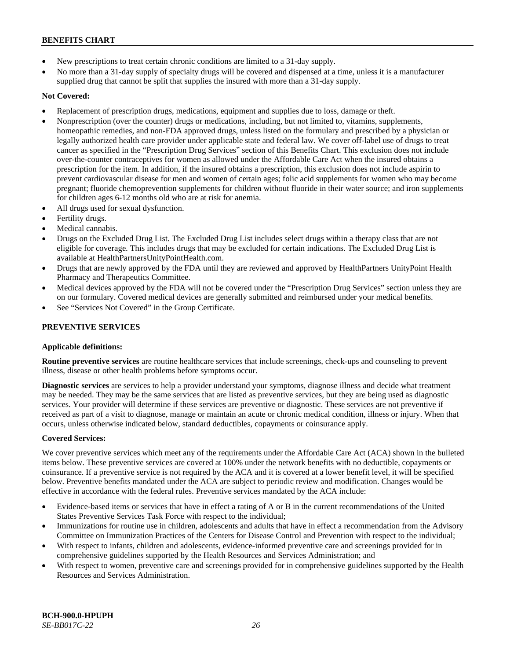- New prescriptions to treat certain chronic conditions are limited to a 31-day supply.
- No more than a 31-day supply of specialty drugs will be covered and dispensed at a time, unless it is a manufacturer supplied drug that cannot be split that supplies the insured with more than a 31-day supply.

# **Not Covered:**

- Replacement of prescription drugs, medications, equipment and supplies due to loss, damage or theft.
- Nonprescription (over the counter) drugs or medications, including, but not limited to, vitamins, supplements, homeopathic remedies, and non-FDA approved drugs, unless listed on the formulary and prescribed by a physician or legally authorized health care provider under applicable state and federal law. We cover off-label use of drugs to treat cancer as specified in the "Prescription Drug Services" section of this Benefits Chart. This exclusion does not include over-the-counter contraceptives for women as allowed under the Affordable Care Act when the insured obtains a prescription for the item. In addition, if the insured obtains a prescription, this exclusion does not include aspirin to prevent cardiovascular disease for men and women of certain ages; folic acid supplements for women who may become pregnant; fluoride chemoprevention supplements for children without fluoride in their water source; and iron supplements for children ages 6-12 months old who are at risk for anemia.
- All drugs used for sexual dysfunction.
- Fertility drugs.
- Medical cannabis.
- Drugs on the Excluded Drug List. The Excluded Drug List includes select drugs within a therapy class that are not eligible for coverage. This includes drugs that may be excluded for certain indications. The Excluded Drug List is available a[t HealthPartnersUnityPointHealth.com.](https://www.healthpartnersunitypointhealth.com/)
- Drugs that are newly approved by the FDA until they are reviewed and approved by HealthPartners UnityPoint Health Pharmacy and Therapeutics Committee.
- Medical devices approved by the FDA will not be covered under the "Prescription Drug Services" section unless they are on our formulary. Covered medical devices are generally submitted and reimbursed under your medical benefits.
- See "Services Not Covered" in the Group Certificate.

# **PREVENTIVE SERVICES**

### **Applicable definitions:**

**Routine preventive services** are routine healthcare services that include screenings, check-ups and counseling to prevent illness, disease or other health problems before symptoms occur.

**Diagnostic services** are services to help a provider understand your symptoms, diagnose illness and decide what treatment may be needed. They may be the same services that are listed as preventive services, but they are being used as diagnostic services. Your provider will determine if these services are preventive or diagnostic. These services are not preventive if received as part of a visit to diagnose, manage or maintain an acute or chronic medical condition, illness or injury. When that occurs, unless otherwise indicated below, standard deductibles, copayments or coinsurance apply.

### **Covered Services:**

We cover preventive services which meet any of the requirements under the Affordable Care Act (ACA) shown in the bulleted items below. These preventive services are covered at 100% under the network benefits with no deductible, copayments or coinsurance. If a preventive service is not required by the ACA and it is covered at a lower benefit level, it will be specified below. Preventive benefits mandated under the ACA are subject to periodic review and modification. Changes would be effective in accordance with the federal rules. Preventive services mandated by the ACA include:

- Evidence-based items or services that have in effect a rating of A or B in the current recommendations of the United States Preventive Services Task Force with respect to the individual;
- Immunizations for routine use in children, adolescents and adults that have in effect a recommendation from the Advisory Committee on Immunization Practices of the Centers for Disease Control and Prevention with respect to the individual;
- With respect to infants, children and adolescents, evidence-informed preventive care and screenings provided for in comprehensive guidelines supported by the Health Resources and Services Administration; and
- With respect to women, preventive care and screenings provided for in comprehensive guidelines supported by the Health Resources and Services Administration.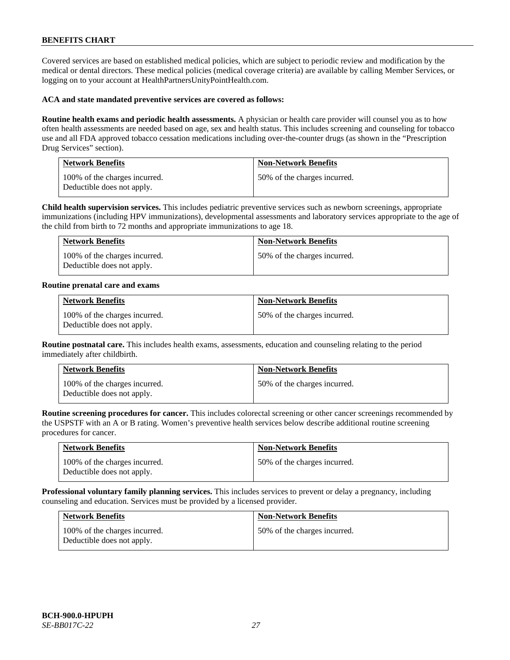Covered services are based on established medical policies, which are subject to periodic review and modification by the medical or dental directors. These medical policies (medical coverage criteria) are available by calling Member Services, or logging on to your account at [HealthPartnersUnityPointHealth.com.](https://www.healthpartnersunitypointhealth.com/)

#### **ACA and state mandated preventive services are covered as follows:**

**Routine health exams and periodic health assessments.** A physician or health care provider will counsel you as to how often health assessments are needed based on age, sex and health status. This includes screening and counseling for tobacco use and all FDA approved tobacco cessation medications including over-the-counter drugs (as shown in the "Prescription Drug Services" section).

| <b>Network Benefits</b>                                     | <b>Non-Network Benefits</b>  |
|-------------------------------------------------------------|------------------------------|
| 100% of the charges incurred.<br>Deductible does not apply. | 50% of the charges incurred. |

**Child health supervision services.** This includes pediatric preventive services such as newborn screenings, appropriate immunizations (including HPV immunizations), developmental assessments and laboratory services appropriate to the age of the child from birth to 72 months and appropriate immunizations to age 18.

| <b>Network Benefits</b>                                     | <b>Non-Network Benefits</b>  |
|-------------------------------------------------------------|------------------------------|
| 100% of the charges incurred.<br>Deductible does not apply. | 50% of the charges incurred. |

#### **Routine prenatal care and exams**

| <b>Network Benefits</b>                                     | <b>Non-Network Benefits</b>  |
|-------------------------------------------------------------|------------------------------|
| 100% of the charges incurred.<br>Deductible does not apply. | 50% of the charges incurred. |

**Routine postnatal care.** This includes health exams, assessments, education and counseling relating to the period immediately after childbirth.

| <b>Network Benefits</b>                                     | <b>Non-Network Benefits</b>  |
|-------------------------------------------------------------|------------------------------|
| 100% of the charges incurred.<br>Deductible does not apply. | 50% of the charges incurred. |

**Routine screening procedures for cancer.** This includes colorectal screening or other cancer screenings recommended by the USPSTF with an A or B rating. Women's preventive health services below describe additional routine screening procedures for cancer.

| <b>Network Benefits</b>                                     | <b>Non-Network Benefits</b>  |
|-------------------------------------------------------------|------------------------------|
| 100% of the charges incurred.<br>Deductible does not apply. | 50% of the charges incurred. |

**Professional voluntary family planning services.** This includes services to prevent or delay a pregnancy, including counseling and education. Services must be provided by a licensed provider.

| <b>Network Benefits</b>                                     | <b>Non-Network Benefits</b>  |
|-------------------------------------------------------------|------------------------------|
| 100% of the charges incurred.<br>Deductible does not apply. | 50% of the charges incurred. |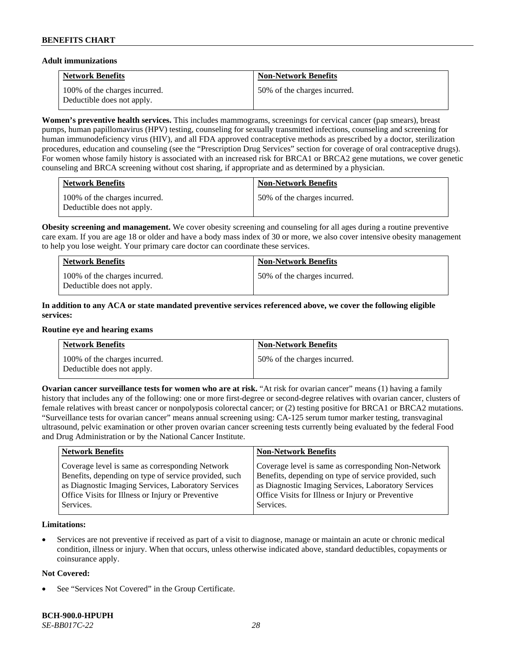#### **Adult immunizations**

| <b>Network Benefits</b>                                     | <b>Non-Network Benefits</b>  |
|-------------------------------------------------------------|------------------------------|
| 100% of the charges incurred.<br>Deductible does not apply. | 50% of the charges incurred. |

**Women's preventive health services.** This includes mammograms, screenings for cervical cancer (pap smears), breast pumps, human papillomavirus (HPV) testing, counseling for sexually transmitted infections, counseling and screening for human immunodeficiency virus (HIV), and all FDA approved contraceptive methods as prescribed by a doctor, sterilization procedures, education and counseling (see the "Prescription Drug Services" section for coverage of oral contraceptive drugs). For women whose family history is associated with an increased risk for BRCA1 or BRCA2 gene mutations, we cover genetic counseling and BRCA screening without cost sharing, if appropriate and as determined by a physician.

| <b>Network Benefits</b>                                     | <b>Non-Network Benefits</b>  |
|-------------------------------------------------------------|------------------------------|
| 100% of the charges incurred.<br>Deductible does not apply. | 50% of the charges incurred. |

**Obesity screening and management.** We cover obesity screening and counseling for all ages during a routine preventive care exam. If you are age 18 or older and have a body mass index of 30 or more, we also cover intensive obesity management to help you lose weight. Your primary care doctor can coordinate these services.

| <b>Network Benefits</b>                                     | <b>Non-Network Benefits</b>  |
|-------------------------------------------------------------|------------------------------|
| 100% of the charges incurred.<br>Deductible does not apply. | 50% of the charges incurred. |

### **In addition to any ACA or state mandated preventive services referenced above, we cover the following eligible services:**

#### **Routine eye and hearing exams**

| <b>Network Benefits</b>                                     | <b>Non-Network Benefits</b>  |
|-------------------------------------------------------------|------------------------------|
| 100% of the charges incurred.<br>Deductible does not apply. | 50% of the charges incurred. |

**Ovarian cancer surveillance tests for women who are at risk. "At risk for ovarian cancer" means (1) having a family** history that includes any of the following: one or more first-degree or second-degree relatives with ovarian cancer, clusters of female relatives with breast cancer or nonpolyposis colorectal cancer; or (2) testing positive for BRCA1 or BRCA2 mutations. "Surveillance tests for ovarian cancer" means annual screening using: CA-125 serum tumor marker testing, transvaginal ultrasound, pelvic examination or other proven ovarian cancer screening tests currently being evaluated by the federal Food and Drug Administration or by the National Cancer Institute.

| <b>Network Benefits</b>                               | <b>Non-Network Benefits</b>                           |
|-------------------------------------------------------|-------------------------------------------------------|
| Coverage level is same as corresponding Network       | Coverage level is same as corresponding Non-Network   |
| Benefits, depending on type of service provided, such | Benefits, depending on type of service provided, such |
| as Diagnostic Imaging Services, Laboratory Services   | as Diagnostic Imaging Services, Laboratory Services   |
| Office Visits for Illness or Injury or Preventive     | Office Visits for Illness or Injury or Preventive     |
| Services.                                             | Services.                                             |

### **Limitations:**

• Services are not preventive if received as part of a visit to diagnose, manage or maintain an acute or chronic medical condition, illness or injury. When that occurs, unless otherwise indicated above, standard deductibles, copayments or coinsurance apply.

### **Not Covered:**

See "Services Not Covered" in the Group Certificate.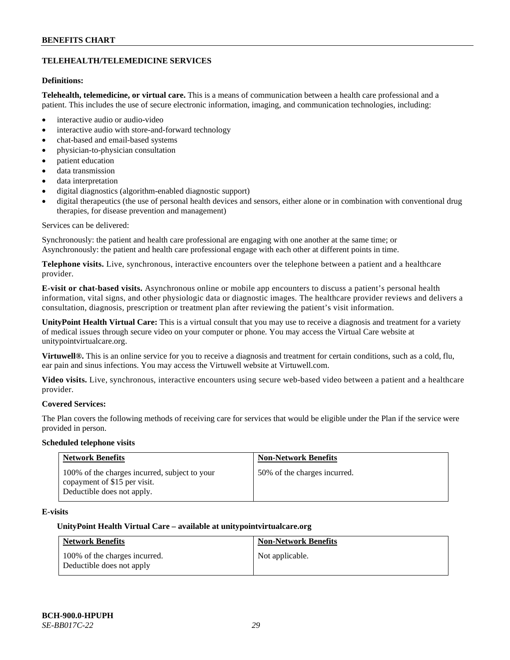### **TELEHEALTH/TELEMEDICINE SERVICES**

### **Definitions:**

**Telehealth, telemedicine, or virtual care.** This is a means of communication between a health care professional and a patient. This includes the use of secure electronic information, imaging, and communication technologies, including:

- interactive audio or audio-video
- interactive audio with store-and-forward technology
- chat-based and email-based systems
- physician-to-physician consultation
- patient education
- data transmission
- data interpretation
- digital diagnostics (algorithm-enabled diagnostic support)
- digital therapeutics (the use of personal health devices and sensors, either alone or in combination with conventional drug therapies, for disease prevention and management)

#### Services can be delivered:

Synchronously: the patient and health care professional are engaging with one another at the same time; or Asynchronously: the patient and health care professional engage with each other at different points in time.

**Telephone visits.** Live, synchronous, interactive encounters over the telephone between a patient and a healthcare provider.

**E-visit or chat-based visits.** Asynchronous online or mobile app encounters to discuss a patient's personal health information, vital signs, and other physiologic data or diagnostic images. The healthcare provider reviews and delivers a consultation, diagnosis, prescription or treatment plan after reviewing the patient's visit information.

**UnityPoint Health Virtual Care:** This is a virtual consult that you may use to receive a diagnosis and treatment for a variety of medical issues through secure video on your computer or phone. You may access the Virtual Care website at [unitypointvirtualcare.org.](https://unitypointvirtualcare.org/landing.htm)

**Virtuwell®.** This is an online service for you to receive a diagnosis and treatment for certain conditions, such as a cold, flu, ear pain and sinus infections. You may access the Virtuwell website at [Virtuwell.com.](https://www.virtuwell.com/)

**Video visits.** Live, synchronous, interactive encounters using secure web-based video between a patient and a healthcare provider.

### **Covered Services:**

The Plan covers the following methods of receiving care for services that would be eligible under the Plan if the service were provided in person.

#### **Scheduled telephone visits**

| <b>Network Benefits</b>                                                                                     | <b>Non-Network Benefits</b>  |
|-------------------------------------------------------------------------------------------------------------|------------------------------|
| 100% of the charges incurred, subject to your<br>copayment of \$15 per visit.<br>Deductible does not apply. | 50% of the charges incurred. |

### **E-visits**

#### **UnityPoint Health Virtual Care – available a[t unitypointvirtualcare.org](http://www.unitypointvirtualcare.org/)**

| <b>Network Benefits</b>                                    | <b>Non-Network Benefits</b> |
|------------------------------------------------------------|-----------------------------|
| 100% of the charges incurred.<br>Deductible does not apply | Not applicable.             |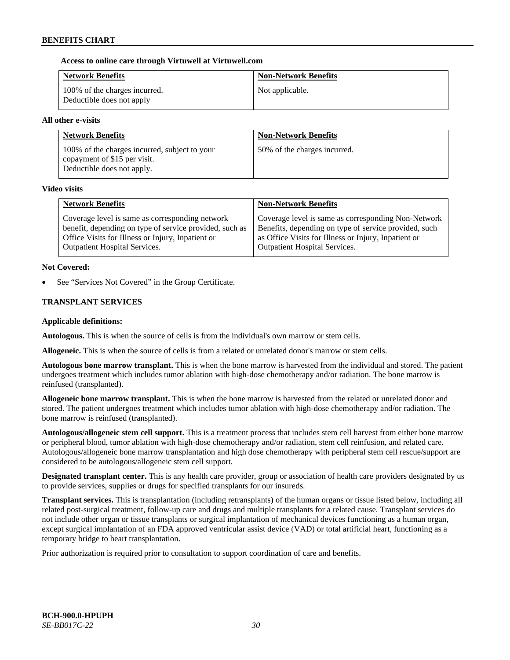### **Access to online care through Virtuwell at [Virtuwell.com](http://www.virtuwell.com/)**

| <b>Network Benefits</b>                                    | <b>Non-Network Benefits</b> |
|------------------------------------------------------------|-----------------------------|
| 100% of the charges incurred.<br>Deductible does not apply | Not applicable.             |

### **All other e-visits**

| <b>Network Benefits</b>                                                                                     | <b>Non-Network Benefits</b>  |
|-------------------------------------------------------------------------------------------------------------|------------------------------|
| 100% of the charges incurred, subject to your<br>copayment of \$15 per visit.<br>Deductible does not apply. | 50% of the charges incurred. |

#### **Video visits**

| <b>Network Benefits</b>                                 | <b>Non-Network Benefits</b>                           |
|---------------------------------------------------------|-------------------------------------------------------|
| Coverage level is same as corresponding network         | Coverage level is same as corresponding Non-Network   |
| benefit, depending on type of service provided, such as | Benefits, depending on type of service provided, such |
| Office Visits for Illness or Injury, Inpatient or       | as Office Visits for Illness or Injury, Inpatient or  |
| <b>Outpatient Hospital Services.</b>                    | <b>Outpatient Hospital Services.</b>                  |

#### **Not Covered:**

See "Services Not Covered" in the Group Certificate.

### **TRANSPLANT SERVICES**

### **Applicable definitions:**

**Autologous.** This is when the source of cells is from the individual's own marrow or stem cells.

**Allogeneic.** This is when the source of cells is from a related or unrelated donor's marrow or stem cells.

**Autologous bone marrow transplant.** This is when the bone marrow is harvested from the individual and stored. The patient undergoes treatment which includes tumor ablation with high-dose chemotherapy and/or radiation. The bone marrow is reinfused (transplanted).

**Allogeneic bone marrow transplant.** This is when the bone marrow is harvested from the related or unrelated donor and stored. The patient undergoes treatment which includes tumor ablation with high-dose chemotherapy and/or radiation. The bone marrow is reinfused (transplanted).

**Autologous/allogeneic stem cell support.** This is a treatment process that includes stem cell harvest from either bone marrow or peripheral blood, tumor ablation with high-dose chemotherapy and/or radiation, stem cell reinfusion, and related care. Autologous/allogeneic bone marrow transplantation and high dose chemotherapy with peripheral stem cell rescue/support are considered to be autologous/allogeneic stem cell support.

**Designated transplant center.** This is any health care provider, group or association of health care providers designated by us to provide services, supplies or drugs for specified transplants for our insureds.

**Transplant services.** This is transplantation (including retransplants) of the human organs or tissue listed below, including all related post-surgical treatment, follow-up care and drugs and multiple transplants for a related cause. Transplant services do not include other organ or tissue transplants or surgical implantation of mechanical devices functioning as a human organ, except surgical implantation of an FDA approved ventricular assist device (VAD) or total artificial heart, functioning as a temporary bridge to heart transplantation.

Prior authorization is required prior to consultation to support coordination of care and benefits.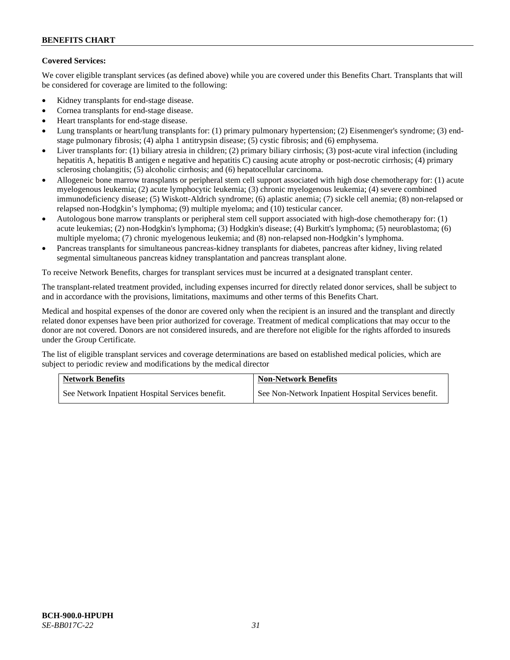# **Covered Services:**

We cover eligible transplant services (as defined above) while you are covered under this Benefits Chart. Transplants that will be considered for coverage are limited to the following:

- Kidney transplants for end-stage disease.
- Cornea transplants for end-stage disease.
- Heart transplants for end-stage disease.
- Lung transplants or heart/lung transplants for: (1) primary pulmonary hypertension; (2) Eisenmenger's syndrome; (3) endstage pulmonary fibrosis; (4) alpha 1 antitrypsin disease; (5) cystic fibrosis; and (6) emphysema.
- Liver transplants for: (1) biliary atresia in children; (2) primary biliary cirrhosis; (3) post-acute viral infection (including hepatitis A, hepatitis B antigen e negative and hepatitis C) causing acute atrophy or post-necrotic cirrhosis; (4) primary sclerosing cholangitis; (5) alcoholic cirrhosis; and (6) hepatocellular carcinoma.
- Allogeneic bone marrow transplants or peripheral stem cell support associated with high dose chemotherapy for: (1) acute myelogenous leukemia; (2) acute lymphocytic leukemia; (3) chronic myelogenous leukemia; (4) severe combined immunodeficiency disease; (5) Wiskott-Aldrich syndrome; (6) aplastic anemia; (7) sickle cell anemia; (8) non-relapsed or relapsed non-Hodgkin's lymphoma; (9) multiple myeloma; and (10) testicular cancer.
- Autologous bone marrow transplants or peripheral stem cell support associated with high-dose chemotherapy for: (1) acute leukemias; (2) non-Hodgkin's lymphoma; (3) Hodgkin's disease; (4) Burkitt's lymphoma; (5) neuroblastoma; (6) multiple myeloma; (7) chronic myelogenous leukemia; and (8) non-relapsed non-Hodgkin's lymphoma.
- Pancreas transplants for simultaneous pancreas-kidney transplants for diabetes, pancreas after kidney, living related segmental simultaneous pancreas kidney transplantation and pancreas transplant alone.

To receive Network Benefits, charges for transplant services must be incurred at a designated transplant center.

The transplant-related treatment provided, including expenses incurred for directly related donor services, shall be subject to and in accordance with the provisions, limitations, maximums and other terms of this Benefits Chart.

Medical and hospital expenses of the donor are covered only when the recipient is an insured and the transplant and directly related donor expenses have been prior authorized for coverage. Treatment of medical complications that may occur to the donor are not covered. Donors are not considered insureds, and are therefore not eligible for the rights afforded to insureds under the Group Certificate.

The list of eligible transplant services and coverage determinations are based on established medical policies, which are subject to periodic review and modifications by the medical director

| <b>Network Benefits</b>                          | <b>Non-Network Benefits</b>                          |
|--------------------------------------------------|------------------------------------------------------|
| See Network Inpatient Hospital Services benefit. | See Non-Network Inpatient Hospital Services benefit. |